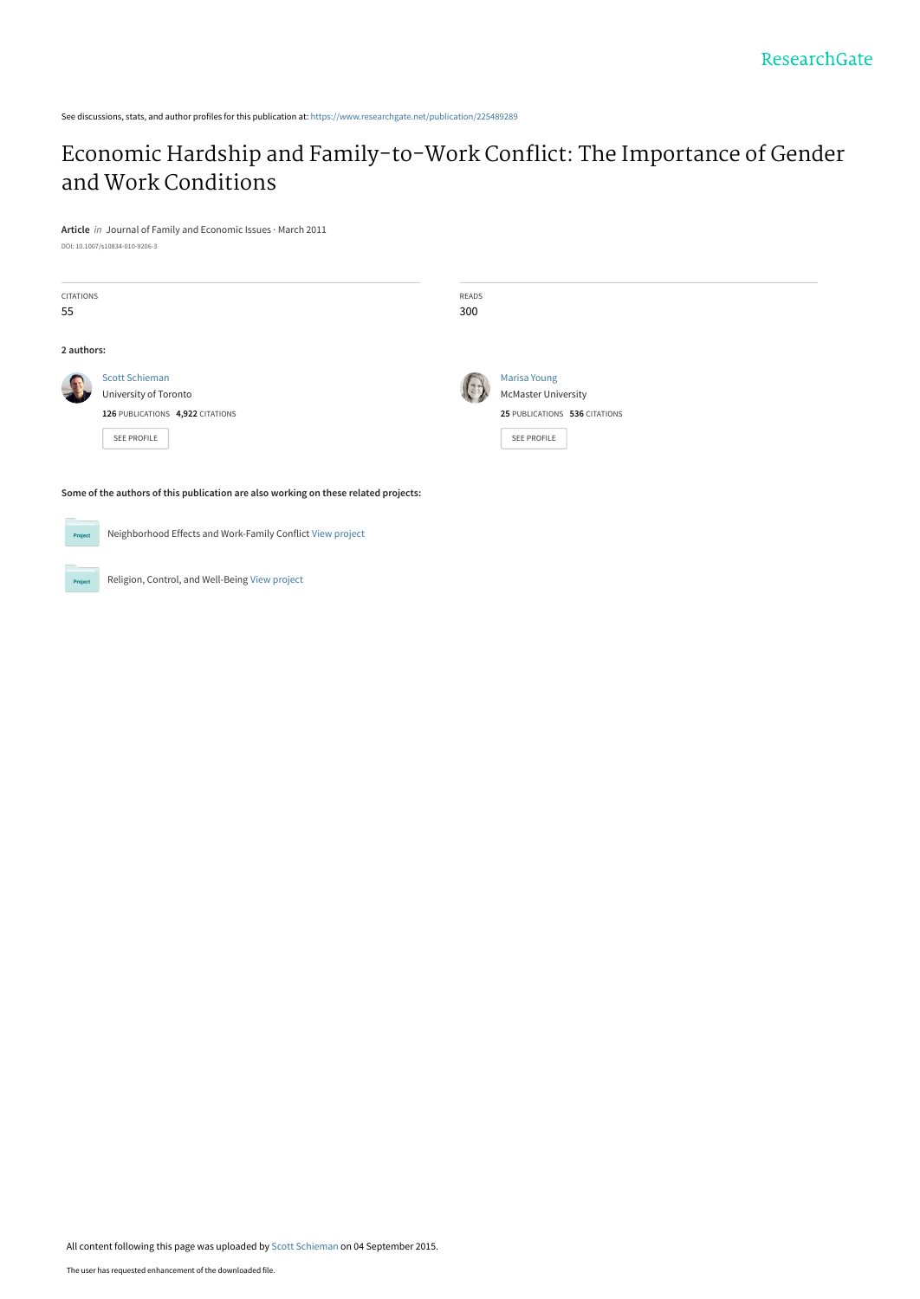See discussions, stats, and author profiles for this publication at: [https://www.researchgate.net/publication/225489289](https://www.researchgate.net/publication/225489289_Economic_Hardship_and_Family-to-Work_Conflict_The_Importance_of_Gender_and_Work_Conditions?enrichId=rgreq-a67f3eb2fc10c8a89c1f68067875ce9b-XXX&enrichSource=Y292ZXJQYWdlOzIyNTQ4OTI4OTtBUzoyNjk5Nzg0NTY4MTc2NjRAMTQ0MTM3OTI4ODA5MQ%3D%3D&el=1_x_2&_esc=publicationCoverPdf)

# [Economic Hardship and Family-to-Work Conflict: The Importance of Gender](https://www.researchgate.net/publication/225489289_Economic_Hardship_and_Family-to-Work_Conflict_The_Importance_of_Gender_and_Work_Conditions?enrichId=rgreq-a67f3eb2fc10c8a89c1f68067875ce9b-XXX&enrichSource=Y292ZXJQYWdlOzIyNTQ4OTI4OTtBUzoyNjk5Nzg0NTY4MTc2NjRAMTQ0MTM3OTI4ODA5MQ%3D%3D&el=1_x_3&_esc=publicationCoverPdf) and Work Conditions

**Article** in Journal of Family and Economic Issues · March 2011

DOI: 10.1007/s10834-010-9206-3

Proj

| <b>CITATIONS</b> |                                  | READS |                               |
|------------------|----------------------------------|-------|-------------------------------|
| 55               |                                  | 300   |                               |
|                  |                                  |       |                               |
| 2 authors:       |                                  |       |                               |
| <b>Roman</b>     | <b>Scott Schieman</b>            |       | <b>Marisa Young</b>           |
|                  | University of Toronto            |       | <b>McMaster University</b>    |
|                  | 126 PUBLICATIONS 4,922 CITATIONS |       | 25 PUBLICATIONS 536 CITATIONS |
|                  | SEE PROFILE                      |       | SEE PROFILE                   |
|                  |                                  |       |                               |
|                  |                                  |       |                               |

**Some of the authors of this publication are also working on these related projects:**

Neighborhood Effects and Work-Family Conflict [View project](https://www.researchgate.net/project/Neighborhood-Effects-and-Work-Family-Conflict?enrichId=rgreq-a67f3eb2fc10c8a89c1f68067875ce9b-XXX&enrichSource=Y292ZXJQYWdlOzIyNTQ4OTI4OTtBUzoyNjk5Nzg0NTY4MTc2NjRAMTQ0MTM3OTI4ODA5MQ%3D%3D&el=1_x_9&_esc=publicationCoverPdf)  $Prc$ 

Religion, Control, and Well-Being [View project](https://www.researchgate.net/project/Religion-Control-and-Well-Being?enrichId=rgreq-a67f3eb2fc10c8a89c1f68067875ce9b-XXX&enrichSource=Y292ZXJQYWdlOzIyNTQ4OTI4OTtBUzoyNjk5Nzg0NTY4MTc2NjRAMTQ0MTM3OTI4ODA5MQ%3D%3D&el=1_x_9&_esc=publicationCoverPdf)

All content following this page was uploaded by [Scott Schieman](https://www.researchgate.net/profile/Scott_Schieman?enrichId=rgreq-a67f3eb2fc10c8a89c1f68067875ce9b-XXX&enrichSource=Y292ZXJQYWdlOzIyNTQ4OTI4OTtBUzoyNjk5Nzg0NTY4MTc2NjRAMTQ0MTM3OTI4ODA5MQ%3D%3D&el=1_x_10&_esc=publicationCoverPdf) on 04 September 2015.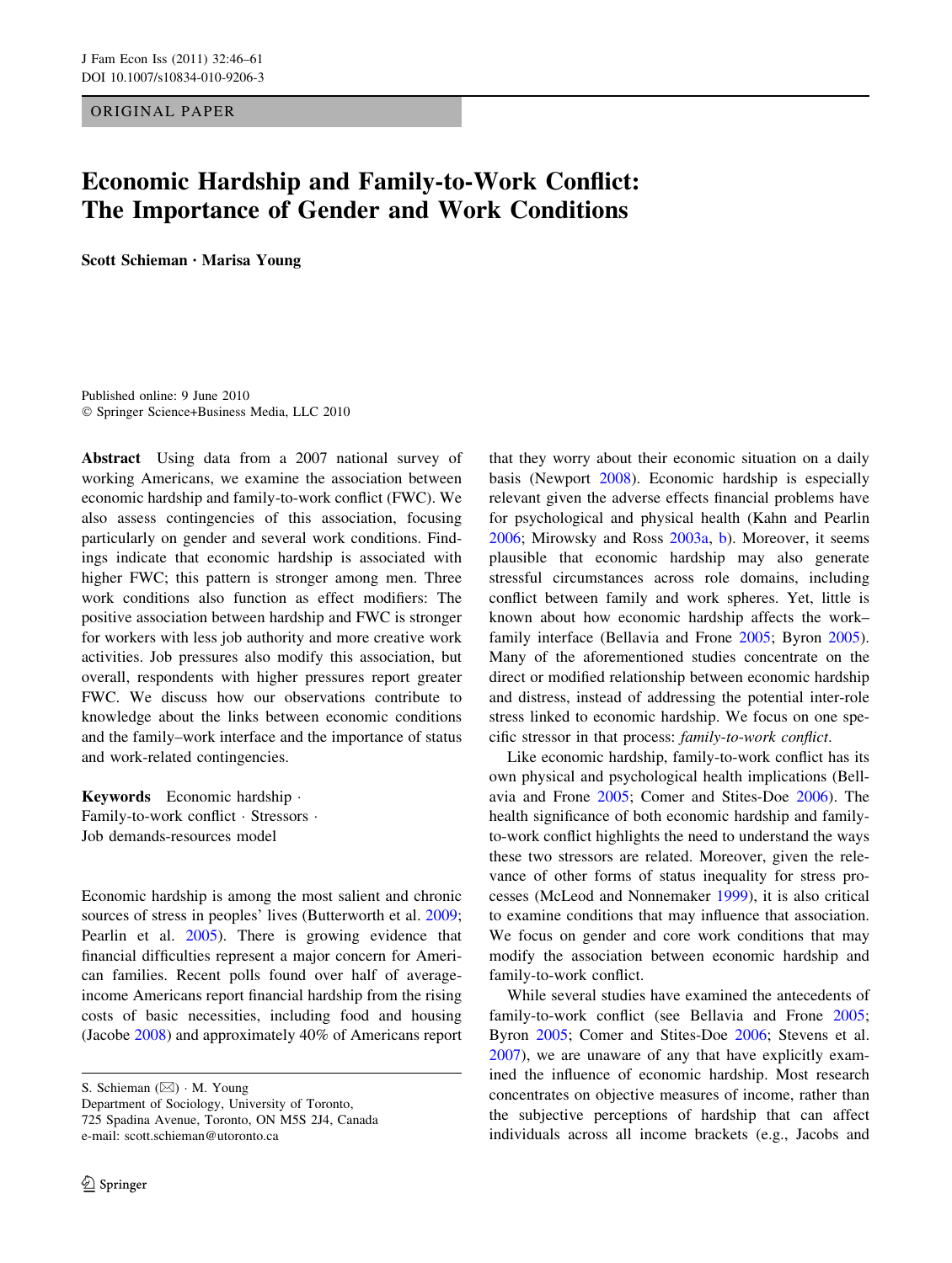ORIGINAL PAPER

# Economic Hardship and Family-to-Work Conflict: The Importance of Gender and Work Conditions

Scott Schieman • Marisa Young

Published online: 9 June 2010 - Springer Science+Business Media, LLC 2010

Abstract Using data from a 2007 national survey of working Americans, we examine the association between economic hardship and family-to-work conflict (FWC). We also assess contingencies of this association, focusing particularly on gender and several work conditions. Findings indicate that economic hardship is associated with higher FWC; this pattern is stronger among men. Three work conditions also function as effect modifiers: The positive association between hardship and FWC is stronger for workers with less job authority and more creative work activities. Job pressures also modify this association, but overall, respondents with higher pressures report greater FWC. We discuss how our observations contribute to knowledge about the links between economic conditions and the family–work interface and the importance of status and work-related contingencies.

Keywords Economic hardship - Family-to-work conflict · Stressors · Job demands-resources model

Economic hardship is among the most salient and chronic sources of stress in peoples' lives (Butterworth et al. [2009](#page-14-0); Pearlin et al. [2005](#page-15-0)). There is growing evidence that financial difficulties represent a major concern for American families. Recent polls found over half of averageincome Americans report financial hardship from the rising costs of basic necessities, including food and housing (Jacobe [2008](#page-14-0)) and approximately 40% of Americans report

S. Schieman (&) - M. Young

Department of Sociology, University of Toronto, 725 Spadina Avenue, Toronto, ON M5S 2J4, Canada e-mail: scott.schieman@utoronto.ca

2 Springer

that they worry about their economic situation on a daily basis (Newport [2008](#page-15-0)). Economic hardship is especially relevant given the adverse effects financial problems have for psychological and physical health (Kahn and Pearlin [2006](#page-14-0); Mirowsky and Ross [2003a,](#page-15-0) [b\)](#page-15-0). Moreover, it seems plausible that economic hardship may also generate stressful circumstances across role domains, including conflict between family and work spheres. Yet, little is known about how economic hardship affects the work– family interface (Bellavia and Frone [2005;](#page-14-0) Byron [2005](#page-14-0)). Many of the aforementioned studies concentrate on the direct or modified relationship between economic hardship and distress, instead of addressing the potential inter-role stress linked to economic hardship. We focus on one specific stressor in that process: family-to-work conflict.

Like economic hardship, family-to-work conflict has its own physical and psychological health implications (Bellavia and Frone [2005;](#page-14-0) Comer and Stites-Doe [2006](#page-14-0)). The health significance of both economic hardship and familyto-work conflict highlights the need to understand the ways these two stressors are related. Moreover, given the relevance of other forms of status inequality for stress processes (McLeod and Nonnemaker [1999](#page-15-0)), it is also critical to examine conditions that may influence that association. We focus on gender and core work conditions that may modify the association between economic hardship and family-to-work conflict.

While several studies have examined the antecedents of family-to-work conflict (see Bellavia and Frone [2005](#page-14-0); Byron [2005;](#page-14-0) Comer and Stites-Doe [2006;](#page-14-0) Stevens et al. [2007](#page-15-0)), we are unaware of any that have explicitly examined the influence of economic hardship. Most research concentrates on objective measures of income, rather than the subjective perceptions of hardship that can affect individuals across all income brackets (e.g., Jacobs and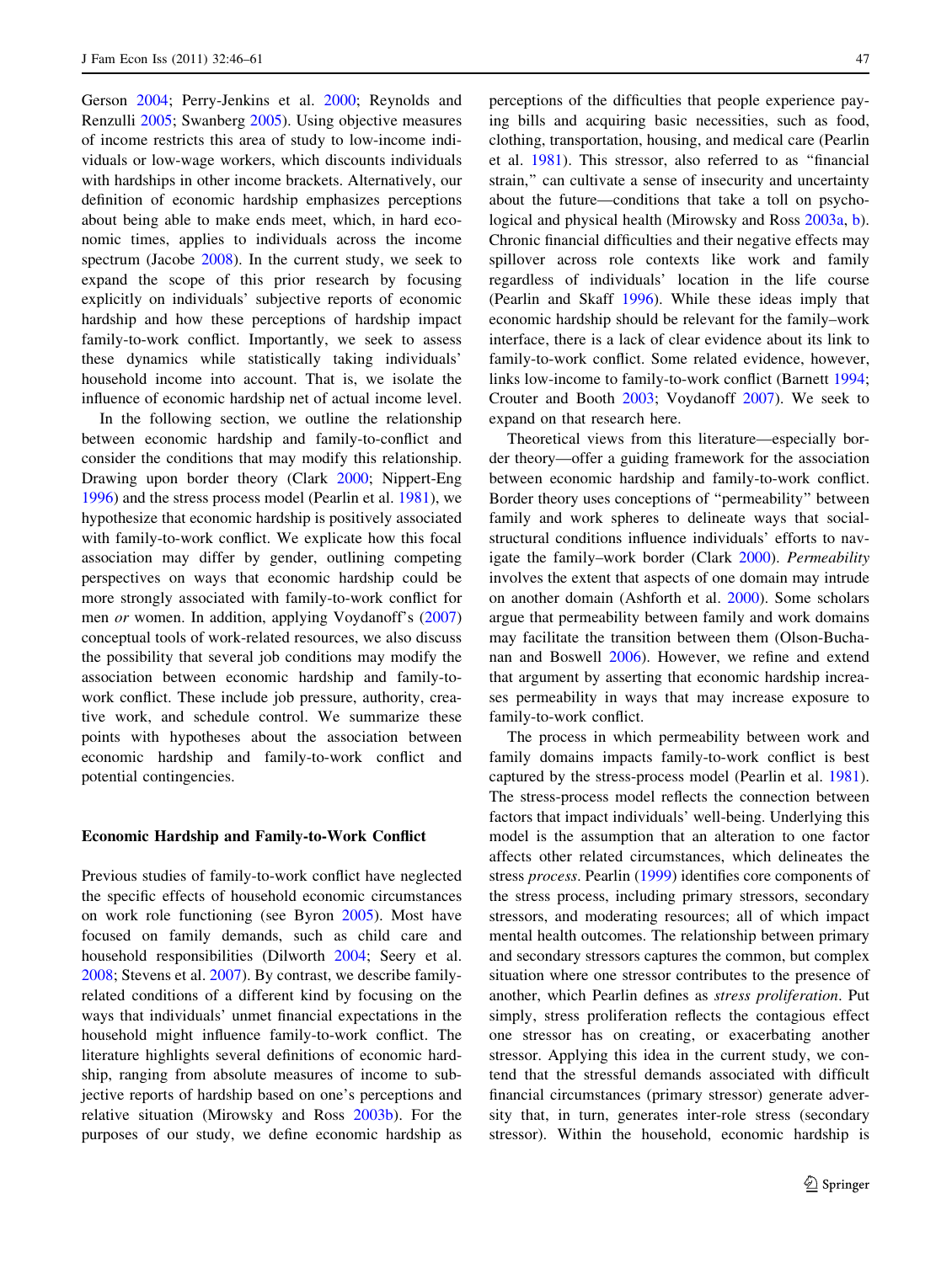Gerson [2004](#page-14-0); Perry-Jenkins et al. [2000;](#page-15-0) Reynolds and Renzulli [2005;](#page-15-0) Swanberg [2005\)](#page-15-0). Using objective measures of income restricts this area of study to low-income individuals or low-wage workers, which discounts individuals with hardships in other income brackets. Alternatively, our definition of economic hardship emphasizes perceptions about being able to make ends meet, which, in hard economic times, applies to individuals across the income spectrum (Jacobe [2008\)](#page-14-0). In the current study, we seek to expand the scope of this prior research by focusing explicitly on individuals' subjective reports of economic hardship and how these perceptions of hardship impact family-to-work conflict. Importantly, we seek to assess these dynamics while statistically taking individuals' household income into account. That is, we isolate the influence of economic hardship net of actual income level.

In the following section, we outline the relationship between economic hardship and family-to-conflict and consider the conditions that may modify this relationship. Drawing upon border theory (Clark [2000;](#page-14-0) Nippert-Eng [1996\)](#page-15-0) and the stress process model (Pearlin et al. [1981](#page-15-0)), we hypothesize that economic hardship is positively associated with family-to-work conflict. We explicate how this focal association may differ by gender, outlining competing perspectives on ways that economic hardship could be more strongly associated with family-to-work conflict for men or women. In addition, applying Voydanoff's ([2007\)](#page-15-0) conceptual tools of work-related resources, we also discuss the possibility that several job conditions may modify the association between economic hardship and family-towork conflict. These include job pressure, authority, creative work, and schedule control. We summarize these points with hypotheses about the association between economic hardship and family-to-work conflict and potential contingencies.

## Economic Hardship and Family-to-Work Conflict

Previous studies of family-to-work conflict have neglected the specific effects of household economic circumstances on work role functioning (see Byron [2005\)](#page-14-0). Most have focused on family demands, such as child care and household responsibilities (Dilworth [2004](#page-14-0); Seery et al. [2008;](#page-15-0) Stevens et al. [2007](#page-15-0)). By contrast, we describe familyrelated conditions of a different kind by focusing on the ways that individuals' unmet financial expectations in the household might influence family-to-work conflict. The literature highlights several definitions of economic hardship, ranging from absolute measures of income to subjective reports of hardship based on one's perceptions and relative situation (Mirowsky and Ross [2003b](#page-15-0)). For the purposes of our study, we define economic hardship as perceptions of the difficulties that people experience paying bills and acquiring basic necessities, such as food, clothing, transportation, housing, and medical care (Pearlin et al. [1981](#page-15-0)). This stressor, also referred to as ''financial strain,'' can cultivate a sense of insecurity and uncertainty about the future—conditions that take a toll on psychological and physical health (Mirowsky and Ross [2003a](#page-15-0), [b](#page-15-0)). Chronic financial difficulties and their negative effects may spillover across role contexts like work and family regardless of individuals' location in the life course (Pearlin and Skaff [1996](#page-15-0)). While these ideas imply that economic hardship should be relevant for the family–work interface, there is a lack of clear evidence about its link to family-to-work conflict. Some related evidence, however, links low-income to family-to-work conflict (Barnett [1994](#page-14-0); Crouter and Booth [2003;](#page-14-0) Voydanoff [2007\)](#page-15-0). We seek to expand on that research here.

Theoretical views from this literature—especially border theory—offer a guiding framework for the association between economic hardship and family-to-work conflict. Border theory uses conceptions of ''permeability'' between family and work spheres to delineate ways that socialstructural conditions influence individuals' efforts to navigate the family–work border (Clark [2000](#page-14-0)). Permeability involves the extent that aspects of one domain may intrude on another domain (Ashforth et al. [2000](#page-14-0)). Some scholars argue that permeability between family and work domains may facilitate the transition between them (Olson-Buchanan and Boswell [2006](#page-15-0)). However, we refine and extend that argument by asserting that economic hardship increases permeability in ways that may increase exposure to family-to-work conflict.

The process in which permeability between work and family domains impacts family-to-work conflict is best captured by the stress-process model (Pearlin et al. [1981](#page-15-0)). The stress-process model reflects the connection between factors that impact individuals' well-being. Underlying this model is the assumption that an alteration to one factor affects other related circumstances, which delineates the stress process. Pearlin [\(1999](#page-15-0)) identifies core components of the stress process, including primary stressors, secondary stressors, and moderating resources; all of which impact mental health outcomes. The relationship between primary and secondary stressors captures the common, but complex situation where one stressor contributes to the presence of another, which Pearlin defines as stress proliferation. Put simply, stress proliferation reflects the contagious effect one stressor has on creating, or exacerbating another stressor. Applying this idea in the current study, we contend that the stressful demands associated with difficult financial circumstances (primary stressor) generate adversity that, in turn, generates inter-role stress (secondary stressor). Within the household, economic hardship is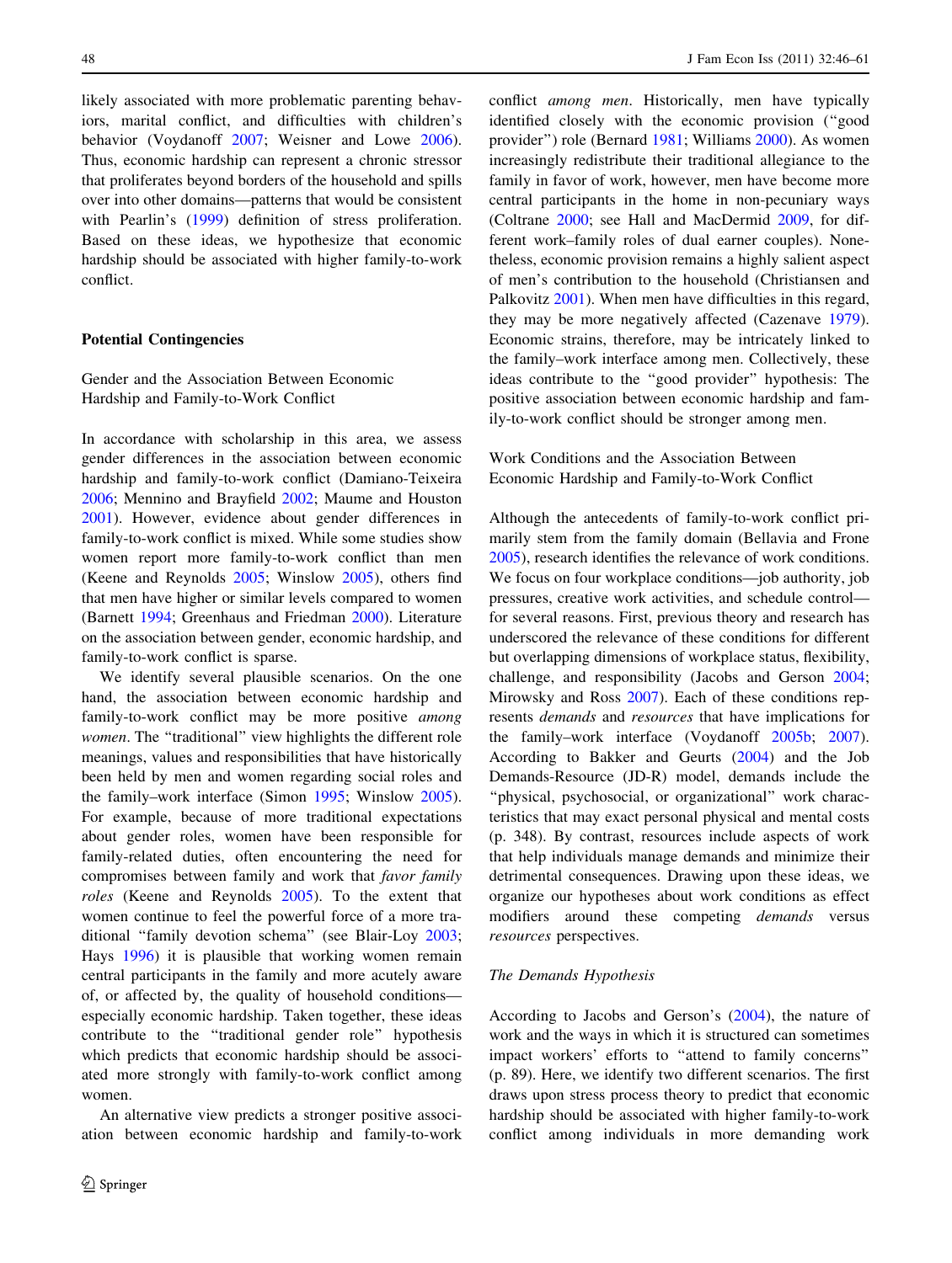likely associated with more problematic parenting behaviors, marital conflict, and difficulties with children's behavior (Voydanoff [2007](#page-15-0); Weisner and Lowe [2006](#page-15-0)). Thus, economic hardship can represent a chronic stressor that proliferates beyond borders of the household and spills over into other domains—patterns that would be consistent with Pearlin's ([1999\)](#page-15-0) definition of stress proliferation. Based on these ideas, we hypothesize that economic hardship should be associated with higher family-to-work conflict.

## Potential Contingencies

Gender and the Association Between Economic Hardship and Family-to-Work Conflict

In accordance with scholarship in this area, we assess gender differences in the association between economic hardship and family-to-work conflict (Damiano-Teixeira [2006;](#page-14-0) Mennino and Brayfield [2002](#page-15-0); Maume and Houston [2001\)](#page-15-0). However, evidence about gender differences in family-to-work conflict is mixed. While some studies show women report more family-to-work conflict than men (Keene and Reynolds [2005;](#page-15-0) Winslow [2005](#page-15-0)), others find that men have higher or similar levels compared to women (Barnett [1994](#page-14-0); Greenhaus and Friedman [2000](#page-14-0)). Literature on the association between gender, economic hardship, and family-to-work conflict is sparse.

We identify several plausible scenarios. On the one hand, the association between economic hardship and family-to-work conflict may be more positive among women. The "traditional" view highlights the different role meanings, values and responsibilities that have historically been held by men and women regarding social roles and the family–work interface (Simon [1995](#page-15-0); Winslow [2005](#page-15-0)). For example, because of more traditional expectations about gender roles, women have been responsible for family-related duties, often encountering the need for compromises between family and work that favor family roles (Keene and Reynolds [2005](#page-15-0)). To the extent that women continue to feel the powerful force of a more tra-ditional "family devotion schema" (see Blair-Loy [2003](#page-14-0); Hays [1996](#page-14-0)) it is plausible that working women remain central participants in the family and more acutely aware of, or affected by, the quality of household conditions especially economic hardship. Taken together, these ideas contribute to the ''traditional gender role'' hypothesis which predicts that economic hardship should be associated more strongly with family-to-work conflict among women.

An alternative view predicts a stronger positive association between economic hardship and family-to-work conflict among men. Historically, men have typically identified closely with the economic provision (''good provider'') role (Bernard [1981;](#page-14-0) Williams [2000\)](#page-15-0). As women increasingly redistribute their traditional allegiance to the family in favor of work, however, men have become more central participants in the home in non-pecuniary ways (Coltrane [2000](#page-14-0); see Hall and MacDermid [2009,](#page-14-0) for different work–family roles of dual earner couples). Nonetheless, economic provision remains a highly salient aspect of men's contribution to the household (Christiansen and Palkovitz [2001\)](#page-14-0). When men have difficulties in this regard, they may be more negatively affected (Cazenave [1979](#page-14-0)). Economic strains, therefore, may be intricately linked to the family–work interface among men. Collectively, these ideas contribute to the ''good provider'' hypothesis: The positive association between economic hardship and family-to-work conflict should be stronger among men.

Work Conditions and the Association Between Economic Hardship and Family-to-Work Conflict

Although the antecedents of family-to-work conflict primarily stem from the family domain (Bellavia and Frone [2005](#page-14-0)), research identifies the relevance of work conditions. We focus on four workplace conditions—job authority, job pressures, creative work activities, and schedule control for several reasons. First, previous theory and research has underscored the relevance of these conditions for different but overlapping dimensions of workplace status, flexibility, challenge, and responsibility (Jacobs and Gerson [2004](#page-14-0); Mirowsky and Ross [2007](#page-15-0)). Each of these conditions represents demands and resources that have implications for the family–work interface (Voydanoff [2005b;](#page-15-0) [2007](#page-15-0)). According to Bakker and Geurts [\(2004](#page-14-0)) and the Job Demands-Resource (JD-R) model, demands include the "physical, psychosocial, or organizational" work characteristics that may exact personal physical and mental costs (p. 348). By contrast, resources include aspects of work that help individuals manage demands and minimize their detrimental consequences. Drawing upon these ideas, we organize our hypotheses about work conditions as effect modifiers around these competing demands versus resources perspectives.

#### The Demands Hypothesis

According to Jacobs and Gerson's [\(2004](#page-14-0)), the nature of work and the ways in which it is structured can sometimes impact workers' efforts to ''attend to family concerns'' (p. 89). Here, we identify two different scenarios. The first draws upon stress process theory to predict that economic hardship should be associated with higher family-to-work conflict among individuals in more demanding work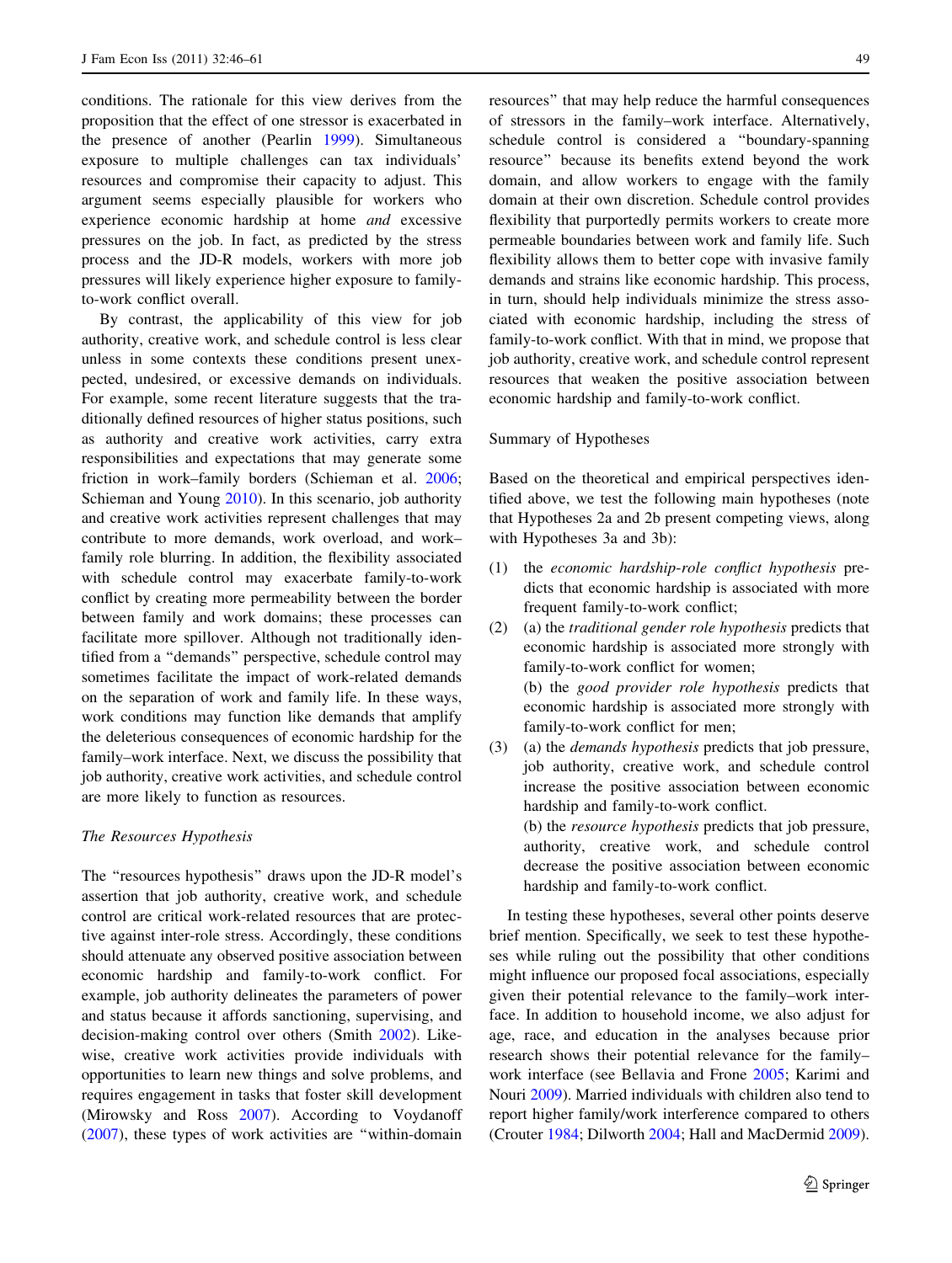conditions. The rationale for this view derives from the proposition that the effect of one stressor is exacerbated in the presence of another (Pearlin [1999](#page-15-0)). Simultaneous exposure to multiple challenges can tax individuals' resources and compromise their capacity to adjust. This argument seems especially plausible for workers who experience economic hardship at home and excessive pressures on the job. In fact, as predicted by the stress process and the JD-R models, workers with more job pressures will likely experience higher exposure to familyto-work conflict overall.

By contrast, the applicability of this view for job authority, creative work, and schedule control is less clear unless in some contexts these conditions present unexpected, undesired, or excessive demands on individuals. For example, some recent literature suggests that the traditionally defined resources of higher status positions, such as authority and creative work activities, carry extra responsibilities and expectations that may generate some friction in work–family borders (Schieman et al. [2006](#page-15-0); Schieman and Young [2010\)](#page-15-0). In this scenario, job authority and creative work activities represent challenges that may contribute to more demands, work overload, and work– family role blurring. In addition, the flexibility associated with schedule control may exacerbate family-to-work conflict by creating more permeability between the border between family and work domains; these processes can facilitate more spillover. Although not traditionally identified from a ''demands'' perspective, schedule control may sometimes facilitate the impact of work-related demands on the separation of work and family life. In these ways, work conditions may function like demands that amplify the deleterious consequences of economic hardship for the family–work interface. Next, we discuss the possibility that job authority, creative work activities, and schedule control are more likely to function as resources.

## The Resources Hypothesis

The "resources hypothesis" draws upon the JD-R model's assertion that job authority, creative work, and schedule control are critical work-related resources that are protective against inter-role stress. Accordingly, these conditions should attenuate any observed positive association between economic hardship and family-to-work conflict. For example, job authority delineates the parameters of power and status because it affords sanctioning, supervising, and decision-making control over others (Smith [2002](#page-15-0)). Likewise, creative work activities provide individuals with opportunities to learn new things and solve problems, and requires engagement in tasks that foster skill development (Mirowsky and Ross [2007\)](#page-15-0). According to Voydanoff [\(2007](#page-15-0)), these types of work activities are ''within-domain resources'' that may help reduce the harmful consequences of stressors in the family–work interface. Alternatively, schedule control is considered a ''boundary-spanning resource'' because its benefits extend beyond the work domain, and allow workers to engage with the family domain at their own discretion. Schedule control provides flexibility that purportedly permits workers to create more permeable boundaries between work and family life. Such flexibility allows them to better cope with invasive family demands and strains like economic hardship. This process, in turn, should help individuals minimize the stress associated with economic hardship, including the stress of family-to-work conflict. With that in mind, we propose that job authority, creative work, and schedule control represent resources that weaken the positive association between economic hardship and family-to-work conflict.

#### Summary of Hypotheses

Based on the theoretical and empirical perspectives identified above, we test the following main hypotheses (note that Hypotheses 2a and 2b present competing views, along with Hypotheses 3a and 3b):

- (1) the economic hardship-role conflict hypothesis predicts that economic hardship is associated with more frequent family-to-work conflict;
- (2) (a) the traditional gender role hypothesis predicts that economic hardship is associated more strongly with family-to-work conflict for women; (b) the good provider role hypothesis predicts that economic hardship is associated more strongly with family-to-work conflict for men;
- (3) (a) the demands hypothesis predicts that job pressure, job authority, creative work, and schedule control increase the positive association between economic hardship and family-to-work conflict.

(b) the resource hypothesis predicts that job pressure, authority, creative work, and schedule control decrease the positive association between economic hardship and family-to-work conflict.

In testing these hypotheses, several other points deserve brief mention. Specifically, we seek to test these hypotheses while ruling out the possibility that other conditions might influence our proposed focal associations, especially given their potential relevance to the family–work interface. In addition to household income, we also adjust for age, race, and education in the analyses because prior research shows their potential relevance for the family– work interface (see Bellavia and Frone [2005](#page-14-0); Karimi and Nouri [2009\)](#page-14-0). Married individuals with children also tend to report higher family/work interference compared to others (Crouter [1984](#page-14-0); Dilworth [2004](#page-14-0); Hall and MacDermid [2009](#page-14-0)).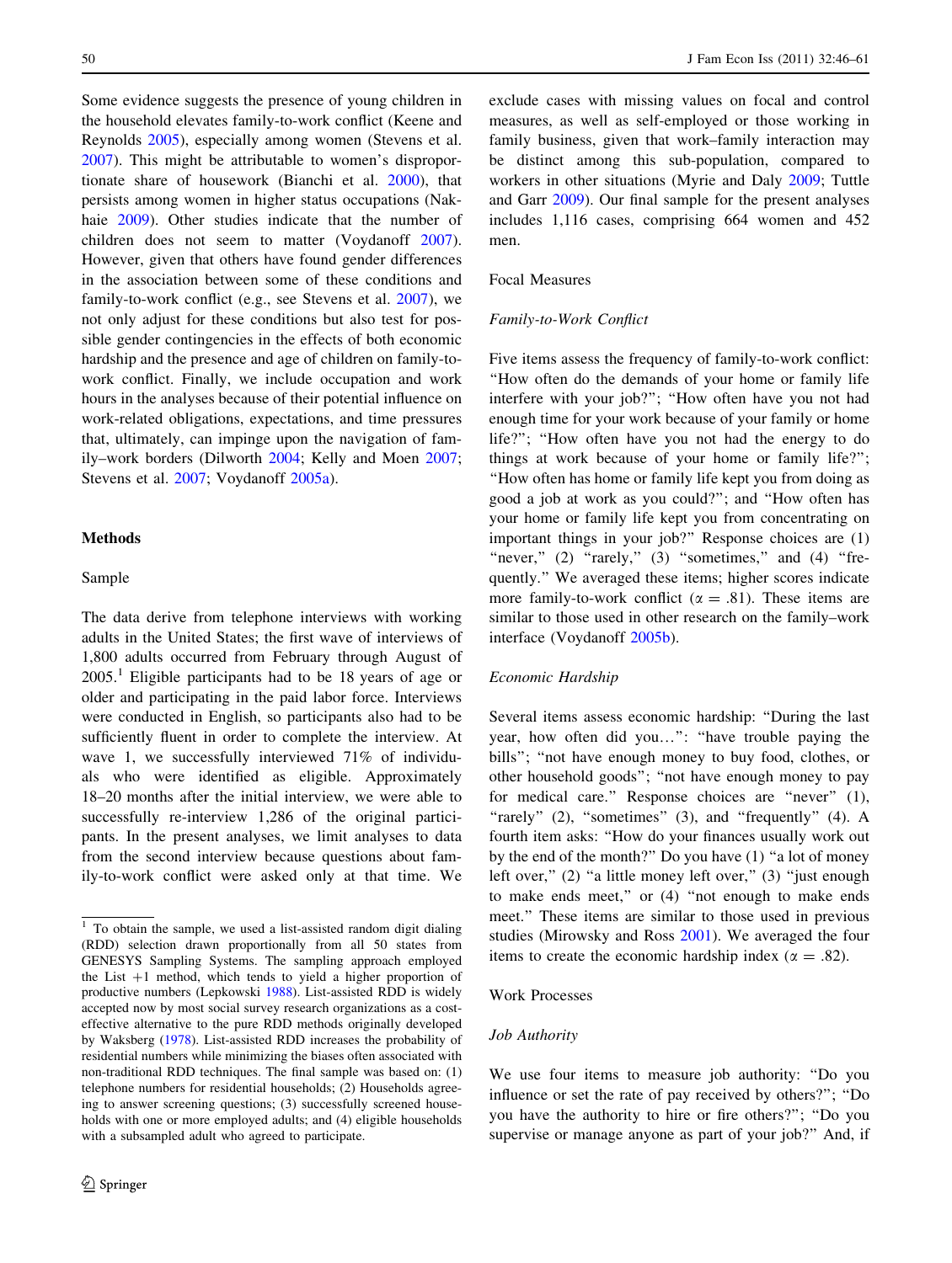Some evidence suggests the presence of young children in the household elevates family-to-work conflict (Keene and Reynolds [2005](#page-15-0)), especially among women (Stevens et al. [2007\)](#page-15-0). This might be attributable to women's disproportionate share of housework (Bianchi et al. [2000\)](#page-14-0), that persists among women in higher status occupations (Nakhaie [2009\)](#page-15-0). Other studies indicate that the number of children does not seem to matter (Voydanoff [2007](#page-15-0)). However, given that others have found gender differences in the association between some of these conditions and family-to-work conflict (e.g., see Stevens et al. [2007](#page-15-0)), we not only adjust for these conditions but also test for possible gender contingencies in the effects of both economic hardship and the presence and age of children on family-towork conflict. Finally, we include occupation and work hours in the analyses because of their potential influence on work-related obligations, expectations, and time pressures that, ultimately, can impinge upon the navigation of family–work borders (Dilworth [2004](#page-14-0); Kelly and Moen [2007](#page-15-0); Stevens et al. [2007](#page-15-0); Voydanoff [2005a](#page-15-0)).

## Methods

#### Sample

The data derive from telephone interviews with working adults in the United States; the first wave of interviews of 1,800 adults occurred from February through August of  $2005<sup>1</sup>$  Eligible participants had to be 18 years of age or older and participating in the paid labor force. Interviews were conducted in English, so participants also had to be sufficiently fluent in order to complete the interview. At wave 1, we successfully interviewed 71% of individuals who were identified as eligible. Approximately 18–20 months after the initial interview, we were able to successfully re-interview 1,286 of the original participants. In the present analyses, we limit analyses to data from the second interview because questions about family-to-work conflict were asked only at that time. We exclude cases with missing values on focal and control measures, as well as self-employed or those working in family business, given that work–family interaction may be distinct among this sub-population, compared to workers in other situations (Myrie and Daly [2009;](#page-15-0) Tuttle and Garr [2009\)](#page-15-0). Our final sample for the present analyses includes 1,116 cases, comprising 664 women and 452 men.

## Focal Measures

## Family-to-Work Conflict

Five items assess the frequency of family-to-work conflict: ''How often do the demands of your home or family life interfere with your job?''; ''How often have you not had enough time for your work because of your family or home life?''; ''How often have you not had the energy to do things at work because of your home or family life?''; ''How often has home or family life kept you from doing as good a job at work as you could?''; and ''How often has your home or family life kept you from concentrating on important things in your job?'' Response choices are (1) "never,"  $(2)$  "rarely,"  $(3)$  "sometimes," and  $(4)$  "frequently.'' We averaged these items; higher scores indicate more family-to-work conflict ( $\alpha = .81$ ). These items are similar to those used in other research on the family–work interface (Voydanoff [2005b](#page-15-0)).

## Economic Hardship

Several items assess economic hardship: ''During the last year, how often did you...": "have trouble paying the bills"; "not have enough money to buy food, clothes, or other household goods''; ''not have enough money to pay for medical care.'' Response choices are ''never'' (1), "rarely" (2), "sometimes" (3), and "frequently" (4). A fourth item asks: ''How do your finances usually work out by the end of the month?'' Do you have (1) ''a lot of money left over," (2) "a little money left over," (3) "just enough to make ends meet,'' or (4) ''not enough to make ends meet.'' These items are similar to those used in previous studies (Mirowsky and Ross [2001\)](#page-15-0). We averaged the four items to create the economic hardship index ( $\alpha = .82$ ).

#### Work Processes

# Job Authority

We use four items to measure job authority: ''Do you influence or set the rate of pay received by others?''; ''Do you have the authority to hire or fire others?''; ''Do you supervise or manage anyone as part of your job?'' And, if

<sup>&</sup>lt;sup>1</sup> To obtain the sample, we used a list-assisted random digit dialing (RDD) selection drawn proportionally from all 50 states from GENESYS Sampling Systems. The sampling approach employed the List  $+1$  method, which tends to yield a higher proportion of productive numbers (Lepkowski [1988](#page-15-0)). List-assisted RDD is widely accepted now by most social survey research organizations as a costeffective alternative to the pure RDD methods originally developed by Waksberg ([1978\)](#page-15-0). List-assisted RDD increases the probability of residential numbers while minimizing the biases often associated with non-traditional RDD techniques. The final sample was based on: (1) telephone numbers for residential households; (2) Households agreeing to answer screening questions; (3) successfully screened households with one or more employed adults; and (4) eligible households with a subsampled adult who agreed to participate.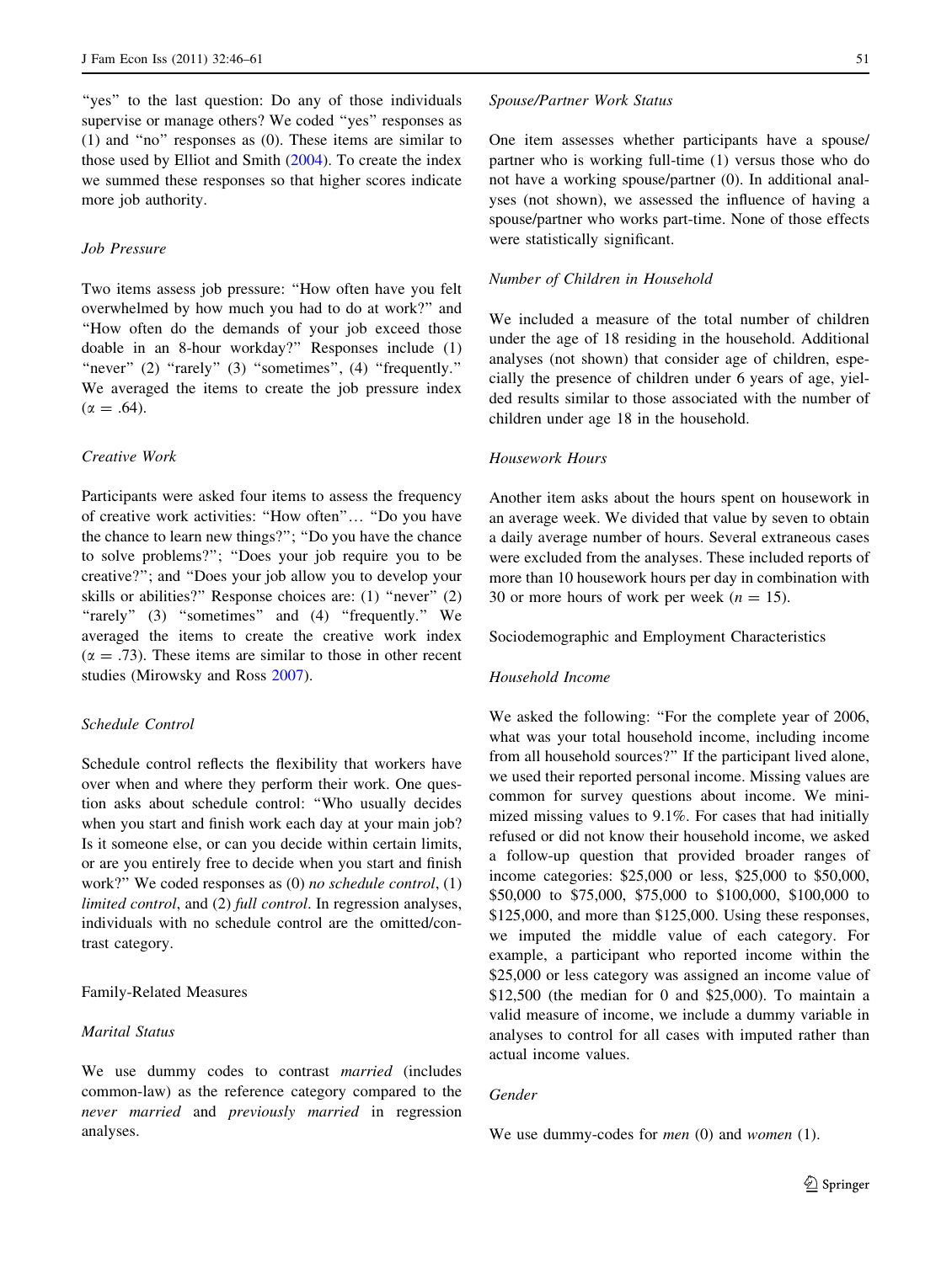"ves" to the last question: Do any of those individuals supervise or manage others? We coded ''yes'' responses as (1) and ''no'' responses as (0). These items are similar to those used by Elliot and Smith [\(2004\)](#page-14-0). To create the index we summed these responses so that higher scores indicate more job authority.

# Job Pressure

Two items assess job pressure: ''How often have you felt overwhelmed by how much you had to do at work?'' and ''How often do the demands of your job exceed those doable in an 8-hour workday?'' Responses include (1) "never"  $(2)$  "rarely"  $(3)$  "sometimes",  $(4)$  "frequently." We averaged the items to create the job pressure index  $(\alpha = .64)$ .

## Creative Work

Participants were asked four items to assess the frequency of creative work activities: ''How often''… ''Do you have the chance to learn new things?''; ''Do you have the chance to solve problems?''; ''Does your job require you to be creative?''; and ''Does your job allow you to develop your skills or abilities?'' Response choices are: (1) ''never'' (2) "rarely" (3) "sometimes" and (4) "frequently." We averaged the items to create the creative work index  $(\alpha = .73)$ . These items are similar to those in other recent studies (Mirowsky and Ross [2007](#page-15-0)).

## Schedule Control

Schedule control reflects the flexibility that workers have over when and where they perform their work. One question asks about schedule control: ''Who usually decides when you start and finish work each day at your main job? Is it someone else, or can you decide within certain limits, or are you entirely free to decide when you start and finish work?" We coded responses as (0) no schedule control, (1) limited control, and (2) full control. In regression analyses, individuals with no schedule control are the omitted/contrast category.

## Family-Related Measures

## Marital Status

We use dummy codes to contrast married (includes common-law) as the reference category compared to the never married and previously married in regression analyses.

#### Spouse/Partner Work Status

One item assesses whether participants have a spouse/ partner who is working full-time (1) versus those who do not have a working spouse/partner (0). In additional analyses (not shown), we assessed the influence of having a spouse/partner who works part-time. None of those effects were statistically significant.

#### Number of Children in Household

We included a measure of the total number of children under the age of 18 residing in the household. Additional analyses (not shown) that consider age of children, especially the presence of children under 6 years of age, yielded results similar to those associated with the number of children under age 18 in the household.

#### Housework Hours

Another item asks about the hours spent on housework in an average week. We divided that value by seven to obtain a daily average number of hours. Several extraneous cases were excluded from the analyses. These included reports of more than 10 housework hours per day in combination with 30 or more hours of work per week ( $n = 15$ ).

Sociodemographic and Employment Characteristics

## Household Income

We asked the following: "For the complete year of 2006, what was your total household income, including income from all household sources?'' If the participant lived alone, we used their reported personal income. Missing values are common for survey questions about income. We minimized missing values to 9.1%. For cases that had initially refused or did not know their household income, we asked a follow-up question that provided broader ranges of income categories: \$25,000 or less, \$25,000 to \$50,000, \$50,000 to \$75,000, \$75,000 to \$100,000, \$100,000 to \$125,000, and more than \$125,000. Using these responses, we imputed the middle value of each category. For example, a participant who reported income within the \$25,000 or less category was assigned an income value of \$12,500 (the median for 0 and \$25,000). To maintain a valid measure of income, we include a dummy variable in analyses to control for all cases with imputed rather than actual income values.

## Gender

We use dummy-codes for *men*  $(0)$  and *women*  $(1)$ .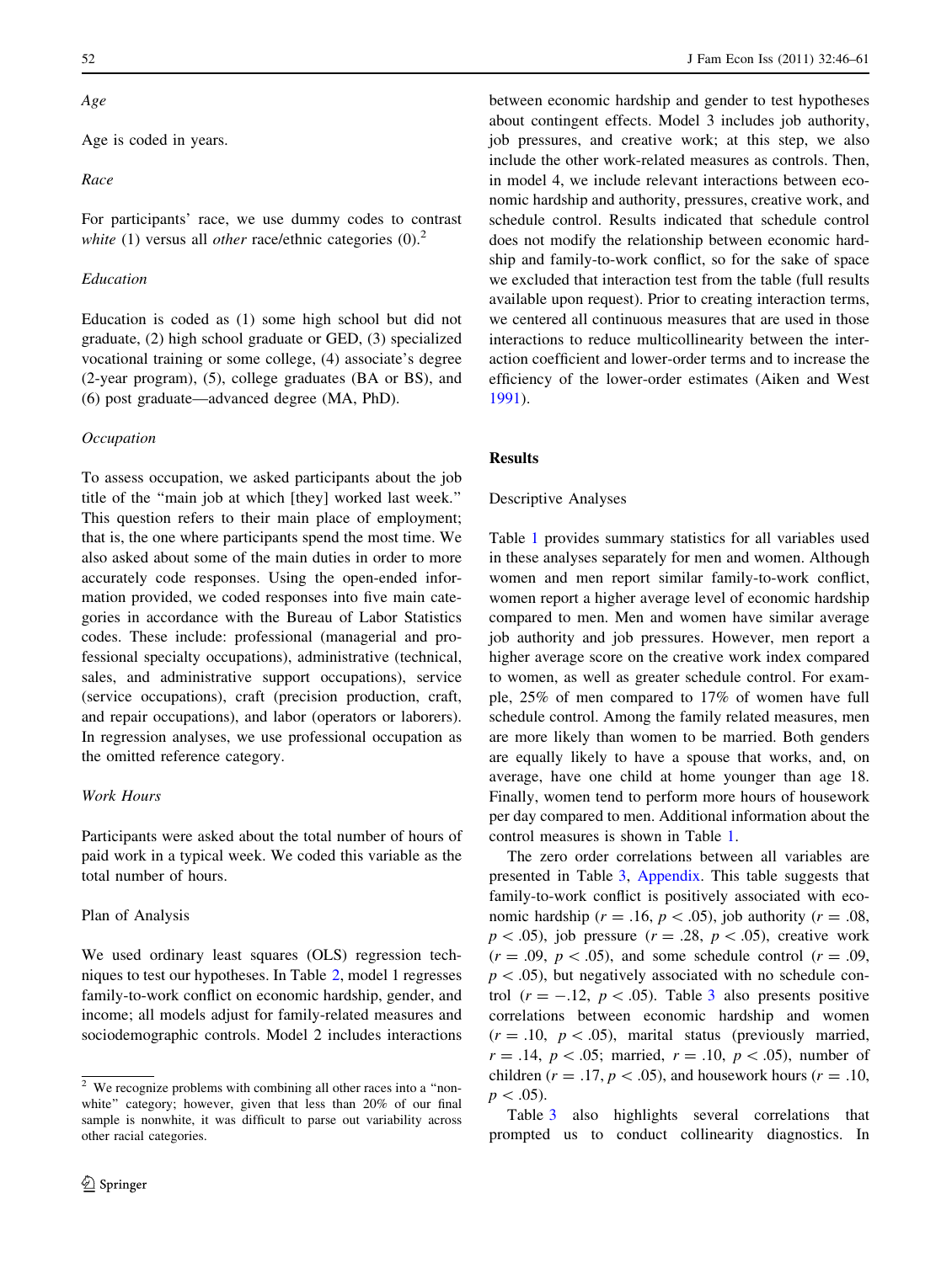Age

Age is coded in years.

## Race

For participants' race, we use dummy codes to contrast white (1) versus all *other* race/ethnic categories  $(0)$ .<sup>2</sup>

# Education

Education is coded as (1) some high school but did not graduate, (2) high school graduate or GED, (3) specialized vocational training or some college, (4) associate's degree (2-year program), (5), college graduates (BA or BS), and (6) post graduate—advanced degree (MA, PhD).

## **Occupation**

To assess occupation, we asked participants about the job title of the ''main job at which [they] worked last week.'' This question refers to their main place of employment; that is, the one where participants spend the most time. We also asked about some of the main duties in order to more accurately code responses. Using the open-ended information provided, we coded responses into five main categories in accordance with the Bureau of Labor Statistics codes. These include: professional (managerial and professional specialty occupations), administrative (technical, sales, and administrative support occupations), service (service occupations), craft (precision production, craft, and repair occupations), and labor (operators or laborers). In regression analyses, we use professional occupation as the omitted reference category.

## Work Hours

Participants were asked about the total number of hours of paid work in a typical week. We coded this variable as the total number of hours.

# Plan of Analysis

We used ordinary least squares (OLS) regression techniques to test our hypotheses. In Table [2,](#page-9-0) model 1 regresses family-to-work conflict on economic hardship, gender, and income; all models adjust for family-related measures and sociodemographic controls. Model 2 includes interactions between economic hardship and gender to test hypotheses about contingent effects. Model 3 includes job authority, job pressures, and creative work; at this step, we also include the other work-related measures as controls. Then, in model 4, we include relevant interactions between economic hardship and authority, pressures, creative work, and schedule control. Results indicated that schedule control does not modify the relationship between economic hardship and family-to-work conflict, so for the sake of space we excluded that interaction test from the table (full results available upon request). Prior to creating interaction terms, we centered all continuous measures that are used in those interactions to reduce multicollinearity between the interaction coefficient and lower-order terms and to increase the efficiency of the lower-order estimates (Aiken and West [1991](#page-14-0)).

## Results

## Descriptive Analyses

Table [1](#page-8-0) provides summary statistics for all variables used in these analyses separately for men and women. Although women and men report similar family-to-work conflict, women report a higher average level of economic hardship compared to men. Men and women have similar average job authority and job pressures. However, men report a higher average score on the creative work index compared to women, as well as greater schedule control. For example, 25% of men compared to 17% of women have full schedule control. Among the family related measures, men are more likely than women to be married. Both genders are equally likely to have a spouse that works, and, on average, have one child at home younger than age 18. Finally, women tend to perform more hours of housework per day compared to men. Additional information about the control measures is shown in Table [1.](#page-8-0)

The zero order correlations between all variables are presented in Table [3](#page-14-0), [Appendix](#page-13-0). This table suggests that family-to-work conflict is positively associated with economic hardship ( $r = .16$ ,  $p < .05$ ), job authority ( $r = .08$ ,  $p\lt.05$ ), job pressure ( $r = .28$ ,  $p\lt.05$ ), creative work  $(r = .09, p < .05)$ , and some schedule control  $(r = .09,$  $p\lt 0.05$ ), but negatively associated with no schedule control  $(r = -.12, p < .05)$ . Table [3](#page-14-0) also presents positive correlations between economic hardship and women  $(r = .10, p < .05)$ , marital status (previously married,  $r = .14, p < .05$ ; married,  $r = .10, p < .05$ ), number of children ( $r = .17$ ,  $p < .05$ ), and housework hours ( $r = .10$ ,  $p < .05$ ).

Table [3](#page-14-0) also highlights several correlations that prompted us to conduct collinearity diagnostics. In

 $\overline{2}$  We recognize problems with combining all other races into a "nonwhite'' category; however, given that less than 20% of our final sample is nonwhite, it was difficult to parse out variability across other racial categories.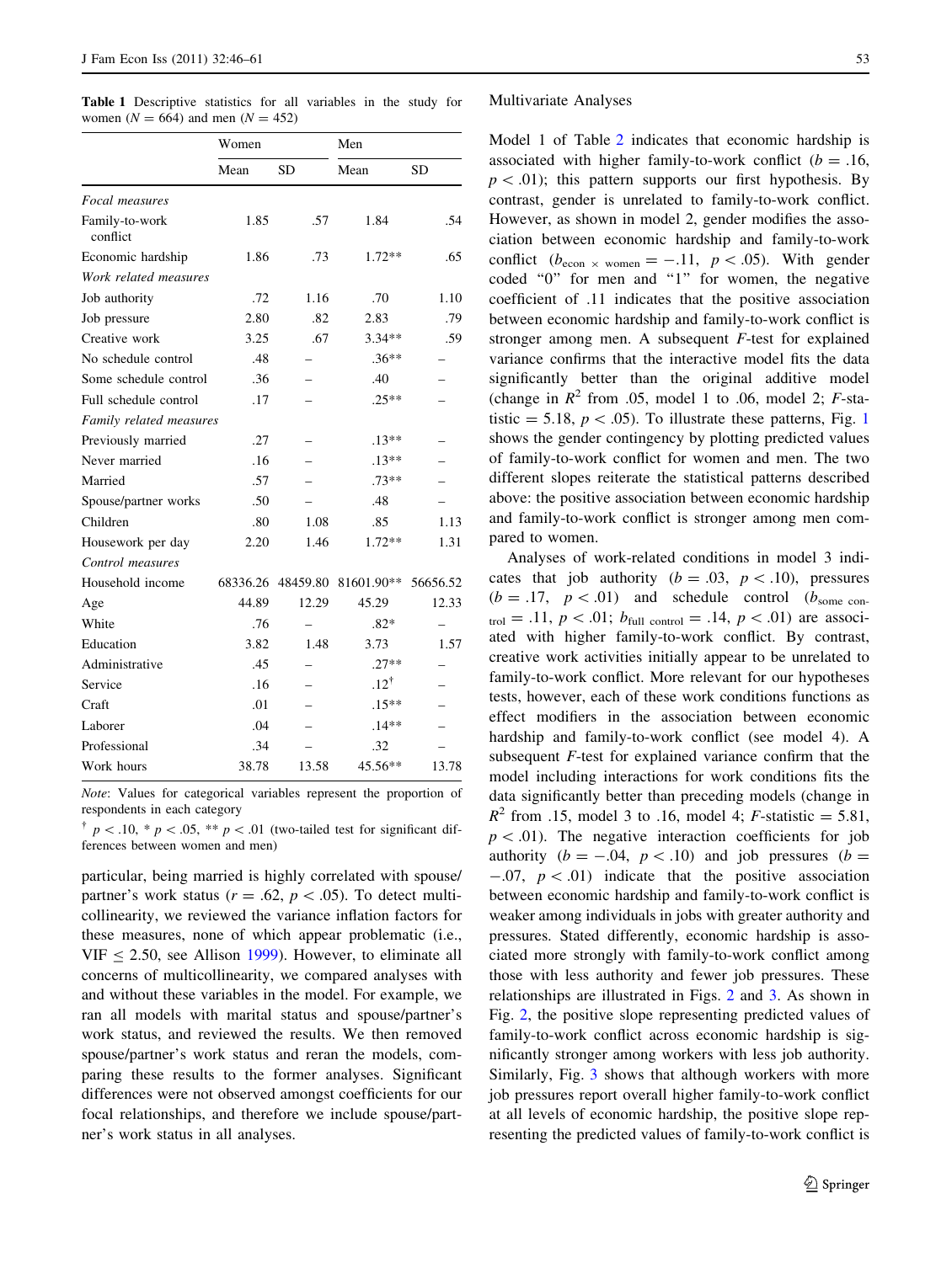<span id="page-8-0"></span>Table 1 Descriptive statistics for all variables in the study for women ( $N = 664$ ) and men ( $N = 452$ )

|                            | Women    |           | Men             |          |
|----------------------------|----------|-----------|-----------------|----------|
|                            | Mean     | <b>SD</b> | Mean            | SD       |
| Focal measures             |          |           |                 |          |
| Family-to-work<br>conflict | 1.85     | .57       | 1.84            | .54      |
| Economic hardship          | 1.86     | .73       | $1.72**$        | .65      |
| Work related measures      |          |           |                 |          |
| Job authority              | .72      | 1.16      | .70             | 1.10     |
| Job pressure               | 2.80     | .82       | 2.83            | .79      |
| Creative work              | 3.25     | .67       | $3.34**$        | .59      |
| No schedule control        | .48      |           | $.36**$         |          |
| Some schedule control      | .36      |           | .40             |          |
| Full schedule control      | .17      |           | $.25**$         |          |
| Family related measures    |          |           |                 |          |
| Previously married         | .27      |           | $.13**$         |          |
| Never married              | .16      |           | $.13**$         |          |
| Married                    | .57      |           | $.73**$         |          |
| Spouse/partner works       | .50      |           | .48             |          |
| Children                   | .80      | 1.08      | .85             | 1.13     |
| Housework per day          | 2.20     | 1.46      | $1.72**$        | 1.31     |
| Control measures           |          |           |                 |          |
| Household income           | 68336.26 | 48459.80  | 81601.90**      | 56656.52 |
| Age                        | 44.89    | 12.29     | 45.29           | 12.33    |
| White                      | .76      |           | $.82*$          |          |
| Education                  | 3.82     | 1.48      | 3.73            | 1.57     |
| Administrative             | .45      |           | $.27**$         |          |
| Service                    | .16      |           | $.12^{\dagger}$ |          |
| Craft                      | .01      |           | $.15***$        |          |
| Laborer                    | .04      |           | $.14**$         |          |
| Professional               | .34      |           | .32             |          |
| Work hours                 | 38.78    | 13.58     | 45.56**         | 13.78    |

Note: Values for categorical variables represent the proportion of respondents in each category

<sup>†</sup>  $p < .10, * p < .05, ** p < .01$  (two-tailed test for significant differences between women and men)

particular, being married is highly correlated with spouse/ partner's work status ( $r = .62$ ,  $p < .05$ ). To detect multicollinearity, we reviewed the variance inflation factors for these measures, none of which appear problematic (i.e., VIF  $\le$  2.50, see Allison [1999](#page-14-0)). However, to eliminate all concerns of multicollinearity, we compared analyses with and without these variables in the model. For example, we ran all models with marital status and spouse/partner's work status, and reviewed the results. We then removed spouse/partner's work status and reran the models, comparing these results to the former analyses. Significant differences were not observed amongst coefficients for our focal relationships, and therefore we include spouse/partner's work status in all analyses.

#### Multivariate Analyses

Model 1 of Table [2](#page-9-0) indicates that economic hardship is associated with higher family-to-work conflict  $(b = .16, )$  $p\lt 0.01$ ; this pattern supports our first hypothesis. By contrast, gender is unrelated to family-to-work conflict. However, as shown in model 2, gender modifies the association between economic hardship and family-to-work conflict  $(b_{\text{econ } x \text{ women}} = -.11, p < .05)$ . With gender coded "0" for men and "1" for women, the negative coefficient of .11 indicates that the positive association between economic hardship and family-to-work conflict is stronger among men. A subsequent F-test for explained variance confirms that the interactive model fits the data significantly better than the original additive model (change in  $R^2$  from .05, model 1 to .06, model 2; F-sta-tistic = 5.[1](#page-10-0)8,  $p < .05$ ). To illustrate these patterns, Fig. 1 shows the gender contingency by plotting predicted values of family-to-work conflict for women and men. The two different slopes reiterate the statistical patterns described above: the positive association between economic hardship and family-to-work conflict is stronger among men compared to women.

Analyses of work-related conditions in model 3 indicates that job authority ( $b = .03$ ,  $p < .10$ ), pressures  $(b = .17, p < .01)$  and schedule control  $(b_{\text{some con}})$ trol = .11,  $p < .01$ ;  $b_{\text{full control}} = .14$ ,  $p < .01$ ) are associated with higher family-to-work conflict. By contrast, creative work activities initially appear to be unrelated to family-to-work conflict. More relevant for our hypotheses tests, however, each of these work conditions functions as effect modifiers in the association between economic hardship and family-to-work conflict (see model 4). A subsequent F-test for explained variance confirm that the model including interactions for work conditions fits the data significantly better than preceding models (change in  $R^2$  from .15, model 3 to .16, model 4; F-statistic = 5.81,  $p\lt 0.01$ ). The negative interaction coefficients for job authority ( $b = -.04$ ,  $p < .10$ ) and job pressures ( $b =$  $-0.07$ ,  $p < 0.01$ ) indicate that the positive association between economic hardship and family-to-work conflict is weaker among individuals in jobs with greater authority and pressures. Stated differently, economic hardship is associated more strongly with family-to-work conflict among those with less authority and fewer job pressures. These relationships are illustrated in Figs. [2](#page-10-0) and [3](#page-10-0). As shown in Fig. [2](#page-10-0), the positive slope representing predicted values of family-to-work conflict across economic hardship is significantly stronger among workers with less job authority. Similarly, Fig. [3](#page-10-0) shows that although workers with more job pressures report overall higher family-to-work conflict at all levels of economic hardship, the positive slope representing the predicted values of family-to-work conflict is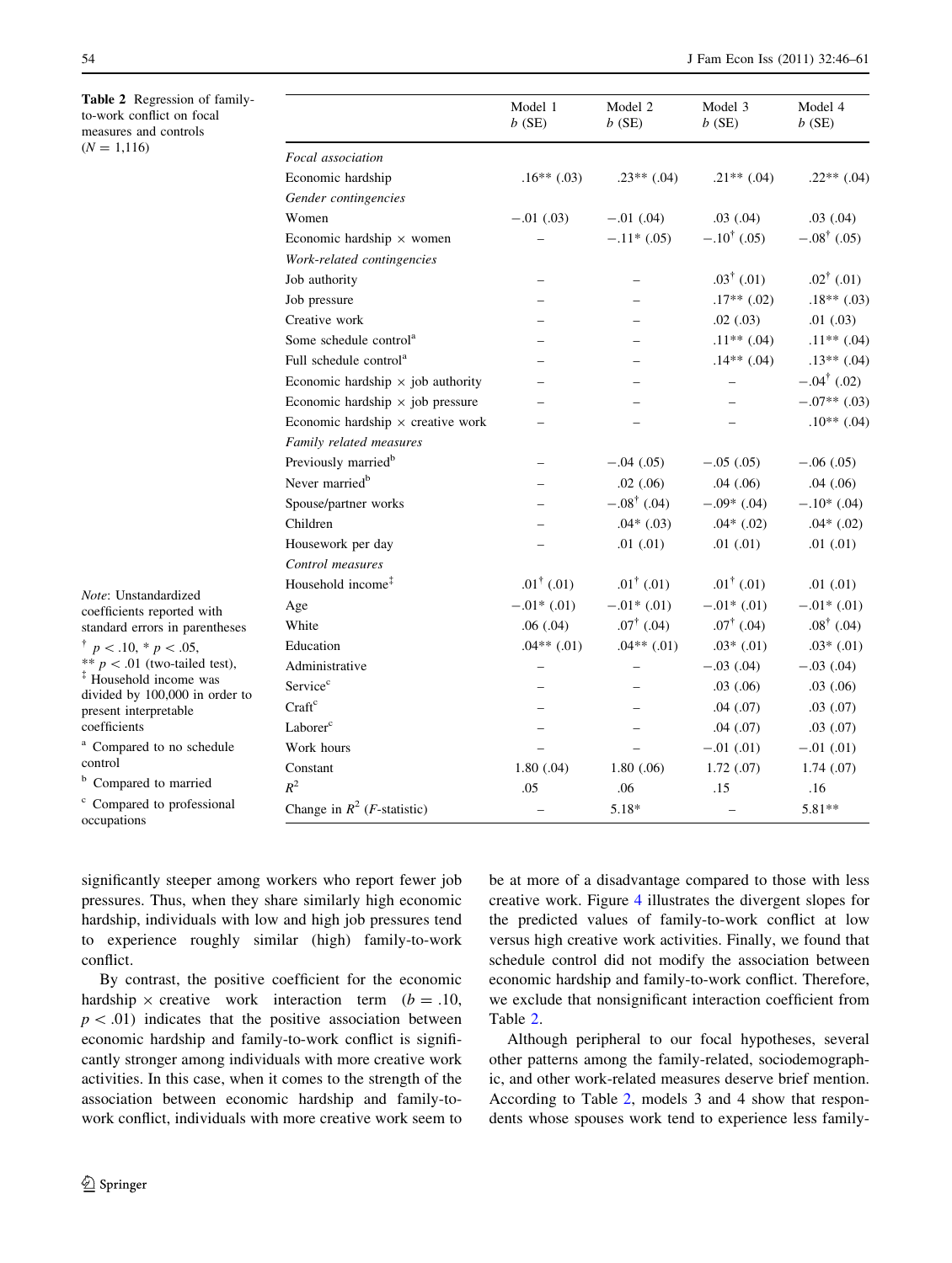Table 2 Regression of to-work conflict on foc measures and controls

occupations

<span id="page-9-0"></span>

| Table 2 Regression of family-<br>to-work conflict on focal<br>measures and controls |                                          | Model 1<br>b(SE)      | Model 2<br>$b$ (SE)    | Model 3<br>b(SE)         | Model 4<br>$b$ (SE)    |  |  |  |  |  |  |
|-------------------------------------------------------------------------------------|------------------------------------------|-----------------------|------------------------|--------------------------|------------------------|--|--|--|--|--|--|
| $(N = 1,116)$                                                                       | Focal association                        |                       |                        |                          |                        |  |  |  |  |  |  |
|                                                                                     | Economic hardship                        | $.16**(.03)$          | $.23**(.04)$           | $.21**$ (.04)            | $.22**$ (.04)          |  |  |  |  |  |  |
|                                                                                     | Gender contingencies                     |                       |                        |                          |                        |  |  |  |  |  |  |
|                                                                                     | Women                                    | $-.01(.03)$           | $-.01$ $(.04)$         | .03(.04)                 | .03(.04)               |  |  |  |  |  |  |
|                                                                                     | Economic hardship $\times$ women         |                       | $-.11*(.05)$           | $-.10^{\dagger}$ (.05)   | $-.08^{\dagger}$ (.05) |  |  |  |  |  |  |
|                                                                                     | Work-related contingencies               |                       |                        |                          |                        |  |  |  |  |  |  |
|                                                                                     | Job authority                            |                       |                        | $.03^{\dagger}$ (.01)    | $.02^{\dagger}$ (.01)  |  |  |  |  |  |  |
|                                                                                     | Job pressure                             |                       |                        | $.17**$ (.02)            | $.18**(.03)$           |  |  |  |  |  |  |
|                                                                                     | Creative work                            |                       |                        | .02(0.03)                | .01(.03)               |  |  |  |  |  |  |
|                                                                                     | Some schedule control <sup>a</sup>       |                       |                        | $.11**$ (.04)            | $.11**$ (.04)          |  |  |  |  |  |  |
|                                                                                     | Full schedule control <sup>a</sup>       |                       |                        | $.14**$ (.04)            | $.13**(.04)$           |  |  |  |  |  |  |
|                                                                                     | Economic hardship $\times$ job authority |                       |                        |                          | $-.04^{\dagger}$ (.02) |  |  |  |  |  |  |
|                                                                                     | Economic hardship $\times$ job pressure  |                       |                        |                          | $-.07**(.03)$          |  |  |  |  |  |  |
|                                                                                     | Economic hardship $\times$ creative work |                       |                        |                          | $.10**$ (.04)          |  |  |  |  |  |  |
|                                                                                     | Family related measures                  |                       |                        |                          |                        |  |  |  |  |  |  |
|                                                                                     | Previously married <sup>b</sup>          |                       | $-.04(.05)$            | $-.05(.05)$              | $-.06(.05)$            |  |  |  |  |  |  |
|                                                                                     | Never married <sup>b</sup>               |                       | $.02$ $(.06)$          | .04(.06)                 | .04(.06)               |  |  |  |  |  |  |
|                                                                                     | Spouse/partner works                     |                       | $-.08^{\dagger}$ (.04) | $-.09*(.04)$             | $-.10*(.04)$           |  |  |  |  |  |  |
|                                                                                     | Children                                 |                       | $.04*(.03)$            | $.04*$ $(.02)$           | $.04*(.02)$            |  |  |  |  |  |  |
|                                                                                     | Housework per day                        |                       | $.01$ $(.01)$          | .01(0.01)                | .01(0.01)              |  |  |  |  |  |  |
|                                                                                     | Control measures                         |                       |                        |                          |                        |  |  |  |  |  |  |
| Note: Unstandardized                                                                | Household income <sup>‡</sup>            | $.01^{\dagger}$ (.01) | $.01^{\dagger}$ (.01)  | .01 <sup>†</sup> $(.01)$ | .01(0.01)              |  |  |  |  |  |  |
| coefficients reported with                                                          | Age                                      | $-.01*$ (.01)         | $-.01*(.01)$           | $-.01*$ (.01)            | $-.01*(.01)$           |  |  |  |  |  |  |
| standard errors in parentheses                                                      | White                                    | .06(.04)              | $.07^{\dagger}$ (.04)  | $.07^{\dagger}$ (.04)    | $.08^{\dagger}$ (.04)  |  |  |  |  |  |  |
| $p < 0.10, \frac{1}{2} p < 0.05$ ,                                                  | Education                                | $.04**$ $(.01)$       | $.04**$ $(.01)$        | $.03*(.01)$              | $.03*(.01)$            |  |  |  |  |  |  |
| ** $p < .01$ (two-tailed test),                                                     | Administrative                           |                       |                        | $-.03$ $(.04)$           | $-.03$ $(.04)$         |  |  |  |  |  |  |
| <sup>‡</sup> Household income was<br>divided by 100,000 in order to                 | Service <sup>c</sup>                     |                       |                        | .03(.06)                 | .03(.06)               |  |  |  |  |  |  |
| present interpretable                                                               | Craft <sup>c</sup>                       |                       |                        | .04(.07)                 | .03(.07)               |  |  |  |  |  |  |
| coefficients                                                                        | Laborer <sup>c</sup>                     |                       |                        | .04(.07)                 | .03(.07)               |  |  |  |  |  |  |
| <sup>a</sup> Compared to no schedule                                                | Work hours                               |                       |                        | $-.01(.01)$              | $-.01$ $(.01)$         |  |  |  |  |  |  |
| control                                                                             | Constant                                 | 1.80(0.04)            | 1.80(.06)              | 1.72(0.07)               | 1.74(0.07)             |  |  |  |  |  |  |
| <sup>b</sup> Compared to married                                                    | $R^2$                                    |                       |                        | .15                      | .16                    |  |  |  |  |  |  |
| <sup>c</sup> Compared to professional<br>occupations                                | Change in $R^2$ ( <i>F</i> -statistic)   |                       | 5.18*                  |                          | 5.81**                 |  |  |  |  |  |  |

significantly steeper among workers who report fewer job pressures. Thus, when they share similarly high economic hardship, individuals with low and high job pressures tend to experience roughly similar (high) family-to-work conflict.

By contrast, the positive coefficient for the economic hardship  $\times$  creative work interaction term ( $b = .10$ ,  $p$  < .01) indicates that the positive association between economic hardship and family-to-work conflict is significantly stronger among individuals with more creative work activities. In this case, when it comes to the strength of the association between economic hardship and family-towork conflict, individuals with more creative work seem to be at more of a disadvantage compared to those with less creative work. Figure [4](#page-11-0) illustrates the divergent slopes for the predicted values of family-to-work conflict at low versus high creative work activities. Finally, we found that schedule control did not modify the association between economic hardship and family-to-work conflict. Therefore, we exclude that nonsignificant interaction coefficient from Table 2.

Although peripheral to our focal hypotheses, several other patterns among the family-related, sociodemographic, and other work-related measures deserve brief mention. According to Table 2, models 3 and 4 show that respondents whose spouses work tend to experience less family-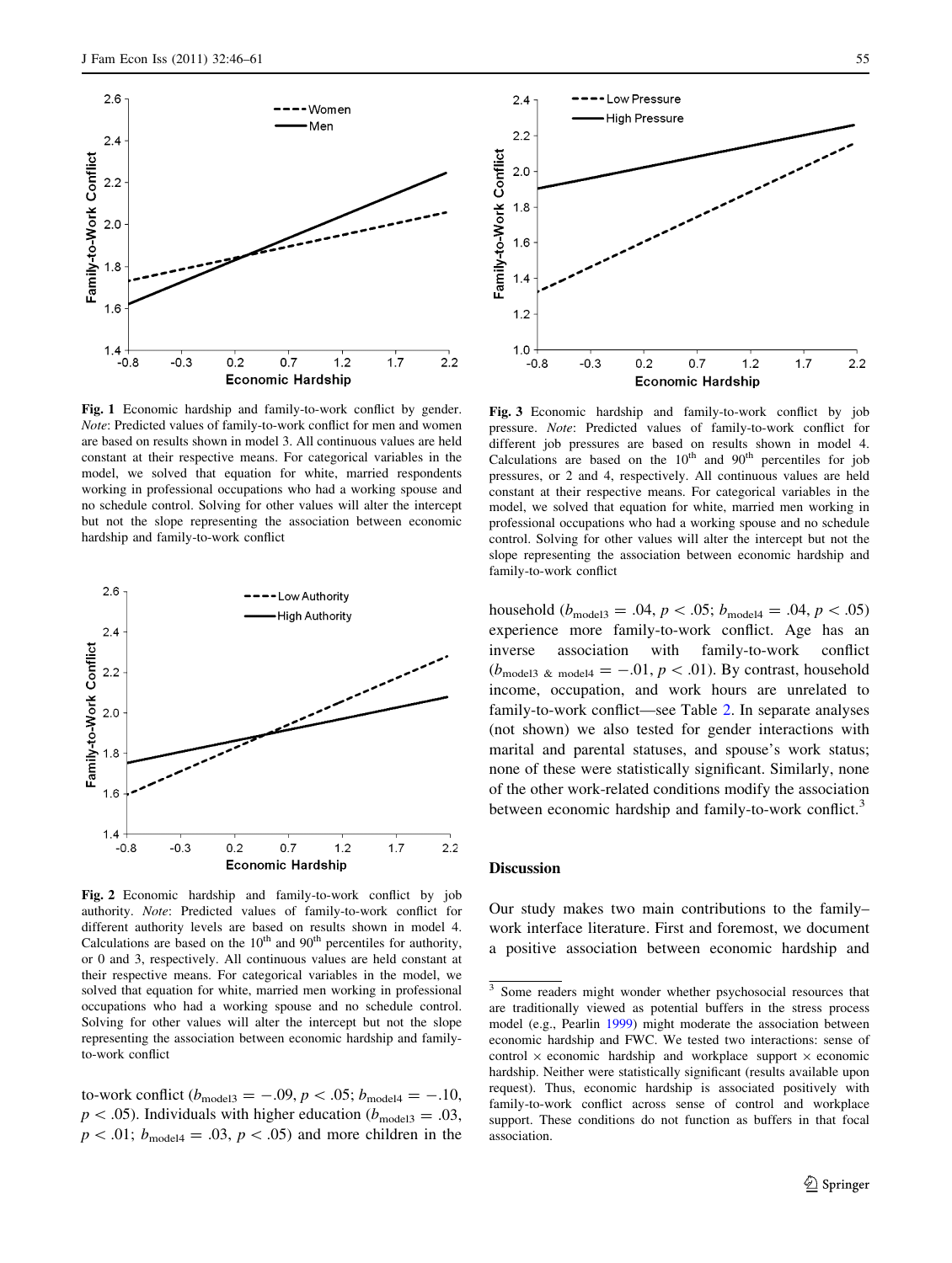<span id="page-10-0"></span>

Fig. 1 Economic hardship and family-to-work conflict by gender. Note: Predicted values of family-to-work conflict for men and women are based on results shown in model 3. All continuous values are held constant at their respective means. For categorical variables in the model, we solved that equation for white, married respondents working in professional occupations who had a working spouse and no schedule control. Solving for other values will alter the intercept but not the slope representing the association between economic hardship and family-to-work conflict



Fig. 2 Economic hardship and family-to-work conflict by job authority. Note: Predicted values of family-to-work conflict for different authority levels are based on results shown in model 4. Calculations are based on the  $10<sup>th</sup>$  and  $90<sup>th</sup>$  percentiles for authority, or 0 and 3, respectively. All continuous values are held constant at their respective means. For categorical variables in the model, we solved that equation for white, married men working in professional occupations who had a working spouse and no schedule control. Solving for other values will alter the intercept but not the slope representing the association between economic hardship and familyto-work conflict

to-work conflict  $(b_{\text{model3}} = -.09, p < .05; b_{\text{model4}} = -.10,$  $p$  < .05). Individuals with higher education ( $b_{\text{model3}} = .03$ ,  $p\lt 0.01$ ;  $b_{\text{model4}} = 0.03$ ,  $p\lt 0.05$ ) and more children in the



Fig. 3 Economic hardship and family-to-work conflict by job pressure. Note: Predicted values of family-to-work conflict for different job pressures are based on results shown in model 4. Calculations are based on the  $10<sup>th</sup>$  and  $90<sup>th</sup>$  percentiles for job pressures, or 2 and 4, respectively. All continuous values are held constant at their respective means. For categorical variables in the model, we solved that equation for white, married men working in professional occupations who had a working spouse and no schedule control. Solving for other values will alter the intercept but not the slope representing the association between economic hardship and family-to-work conflict

household ( $b_{\text{model3}} = .04$ ,  $p \lt .05$ ;  $b_{\text{model4}} = .04$ ,  $p \lt .05$ ) experience more family-to-work conflict. Age has an inverse association with family-to-work conflict  $(b_{\text{model3} \& \text{model4}} = -.01, p < .01)$ . By contrast, household income, occupation, and work hours are unrelated to family-to-work conflict—see Table [2](#page-9-0). In separate analyses (not shown) we also tested for gender interactions with marital and parental statuses, and spouse's work status; none of these were statistically significant. Similarly, none of the other work-related conditions modify the association between economic hardship and family-to-work conflict.<sup>3</sup>

#### Discussion

Our study makes two main contributions to the family– work interface literature. First and foremost, we document a positive association between economic hardship and

<sup>3</sup> Some readers might wonder whether psychosocial resources that are traditionally viewed as potential buffers in the stress process model (e.g., Pearlin [1999](#page-15-0)) might moderate the association between economic hardship and FWC. We tested two interactions: sense of control  $\times$  economic hardship and workplace support  $\times$  economic hardship. Neither were statistically significant (results available upon request). Thus, economic hardship is associated positively with family-to-work conflict across sense of control and workplace support. These conditions do not function as buffers in that focal association.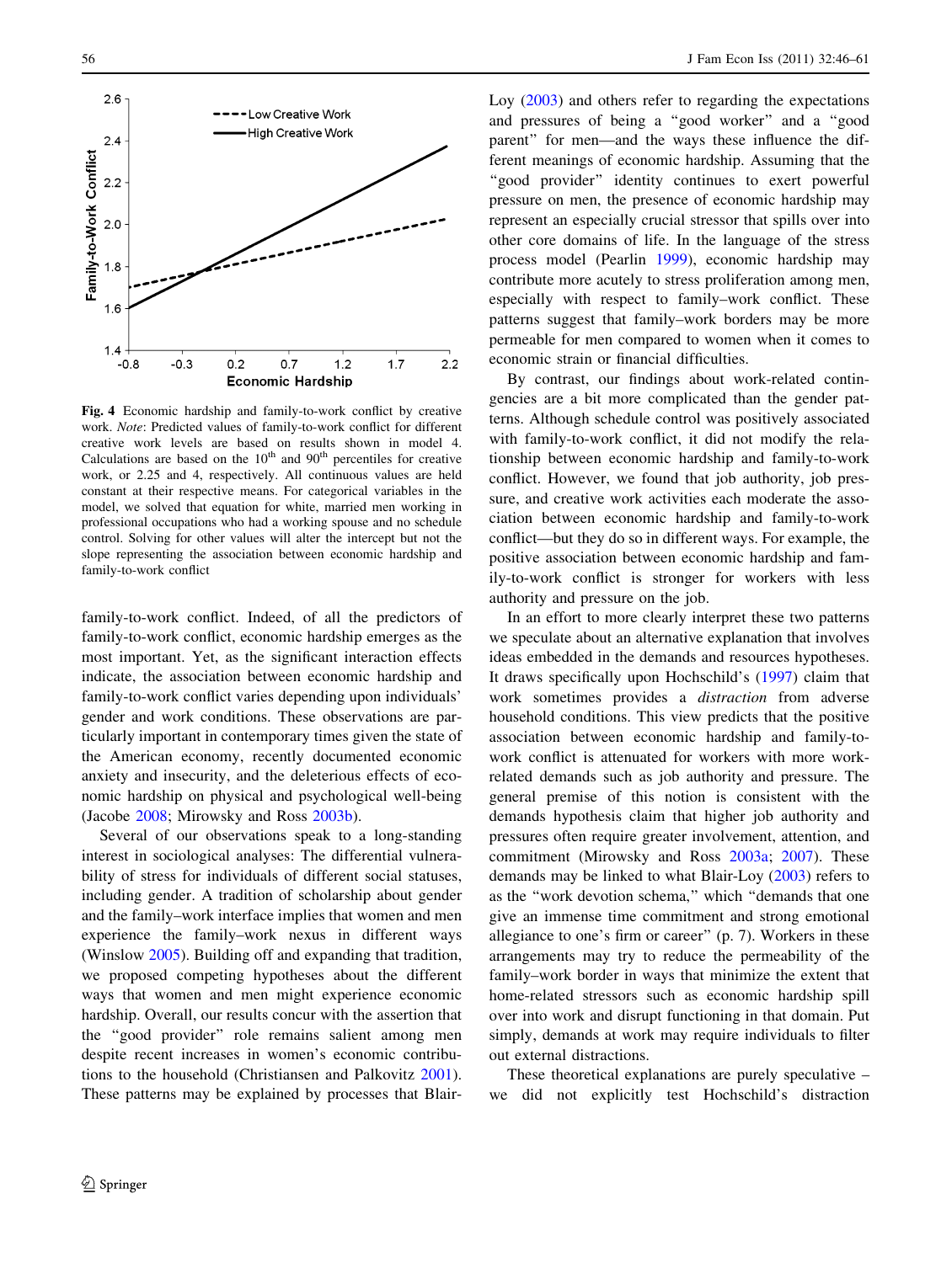<span id="page-11-0"></span>

Fig. 4 Economic hardship and family-to-work conflict by creative work. Note: Predicted values of family-to-work conflict for different creative work levels are based on results shown in model 4. Calculations are based on the  $10<sup>th</sup>$  and  $90<sup>th</sup>$  percentiles for creative work, or 2.25 and 4, respectively. All continuous values are held constant at their respective means. For categorical variables in the model, we solved that equation for white, married men working in professional occupations who had a working spouse and no schedule control. Solving for other values will alter the intercept but not the slope representing the association between economic hardship and family-to-work conflict

family-to-work conflict. Indeed, of all the predictors of family-to-work conflict, economic hardship emerges as the most important. Yet, as the significant interaction effects indicate, the association between economic hardship and family-to-work conflict varies depending upon individuals' gender and work conditions. These observations are particularly important in contemporary times given the state of the American economy, recently documented economic anxiety and insecurity, and the deleterious effects of economic hardship on physical and psychological well-being (Jacobe [2008;](#page-14-0) Mirowsky and Ross [2003b\)](#page-15-0).

Several of our observations speak to a long-standing interest in sociological analyses: The differential vulnerability of stress for individuals of different social statuses, including gender. A tradition of scholarship about gender and the family–work interface implies that women and men experience the family–work nexus in different ways (Winslow [2005](#page-15-0)). Building off and expanding that tradition, we proposed competing hypotheses about the different ways that women and men might experience economic hardship. Overall, our results concur with the assertion that the ''good provider'' role remains salient among men despite recent increases in women's economic contributions to the household (Christiansen and Palkovitz [2001](#page-14-0)). These patterns may be explained by processes that BlairLoy [\(2003](#page-14-0)) and others refer to regarding the expectations and pressures of being a ''good worker'' and a ''good parent'' for men—and the ways these influence the different meanings of economic hardship. Assuming that the ''good provider'' identity continues to exert powerful pressure on men, the presence of economic hardship may represent an especially crucial stressor that spills over into other core domains of life. In the language of the stress process model (Pearlin [1999](#page-15-0)), economic hardship may contribute more acutely to stress proliferation among men, especially with respect to family–work conflict. These patterns suggest that family–work borders may be more permeable for men compared to women when it comes to economic strain or financial difficulties.

By contrast, our findings about work-related contingencies are a bit more complicated than the gender patterns. Although schedule control was positively associated with family-to-work conflict, it did not modify the relationship between economic hardship and family-to-work conflict. However, we found that job authority, job pressure, and creative work activities each moderate the association between economic hardship and family-to-work conflict—but they do so in different ways. For example, the positive association between economic hardship and family-to-work conflict is stronger for workers with less authority and pressure on the job.

In an effort to more clearly interpret these two patterns we speculate about an alternative explanation that involves ideas embedded in the demands and resources hypotheses. It draws specifically upon Hochschild's [\(1997](#page-14-0)) claim that work sometimes provides a distraction from adverse household conditions. This view predicts that the positive association between economic hardship and family-towork conflict is attenuated for workers with more workrelated demands such as job authority and pressure. The general premise of this notion is consistent with the demands hypothesis claim that higher job authority and pressures often require greater involvement, attention, and commitment (Mirowsky and Ross [2003a;](#page-15-0) [2007](#page-15-0)). These demands may be linked to what Blair-Loy [\(2003](#page-14-0)) refers to as the ''work devotion schema,'' which ''demands that one give an immense time commitment and strong emotional allegiance to one's firm or career'' (p. 7). Workers in these arrangements may try to reduce the permeability of the family–work border in ways that minimize the extent that home-related stressors such as economic hardship spill over into work and disrupt functioning in that domain. Put simply, demands at work may require individuals to filter out external distractions.

These theoretical explanations are purely speculative – we did not explicitly test Hochschild's distraction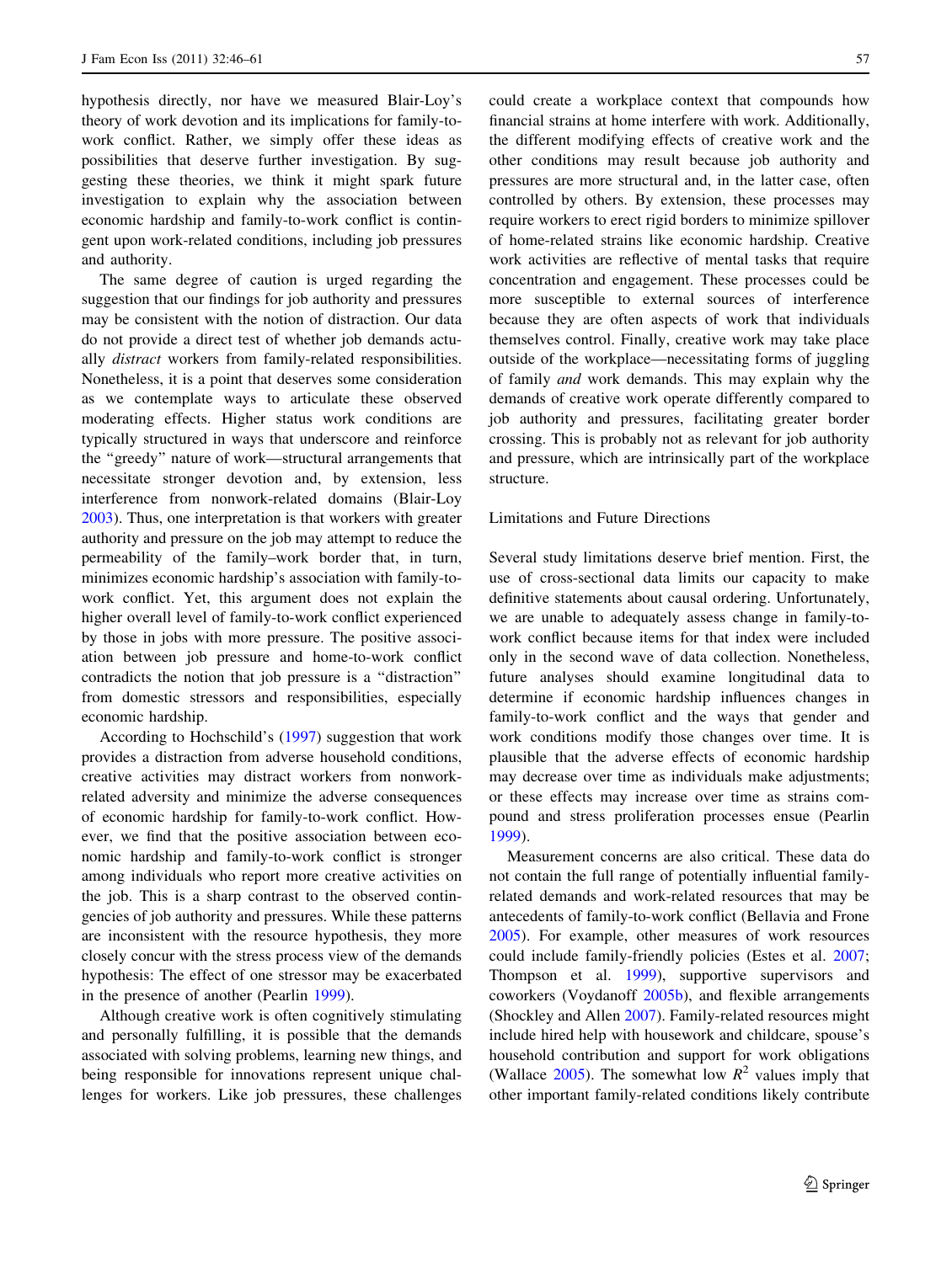hypothesis directly, nor have we measured Blair-Loy's theory of work devotion and its implications for family-towork conflict. Rather, we simply offer these ideas as possibilities that deserve further investigation. By suggesting these theories, we think it might spark future investigation to explain why the association between economic hardship and family-to-work conflict is contingent upon work-related conditions, including job pressures and authority.

The same degree of caution is urged regarding the suggestion that our findings for job authority and pressures may be consistent with the notion of distraction. Our data do not provide a direct test of whether job demands actually distract workers from family-related responsibilities. Nonetheless, it is a point that deserves some consideration as we contemplate ways to articulate these observed moderating effects. Higher status work conditions are typically structured in ways that underscore and reinforce the ''greedy'' nature of work—structural arrangements that necessitate stronger devotion and, by extension, less interference from nonwork-related domains (Blair-Loy [2003\)](#page-14-0). Thus, one interpretation is that workers with greater authority and pressure on the job may attempt to reduce the permeability of the family–work border that, in turn, minimizes economic hardship's association with family-towork conflict. Yet, this argument does not explain the higher overall level of family-to-work conflict experienced by those in jobs with more pressure. The positive association between job pressure and home-to-work conflict contradicts the notion that job pressure is a ''distraction'' from domestic stressors and responsibilities, especially economic hardship.

According to Hochschild's ([1997\)](#page-14-0) suggestion that work provides a distraction from adverse household conditions, creative activities may distract workers from nonworkrelated adversity and minimize the adverse consequences of economic hardship for family-to-work conflict. However, we find that the positive association between economic hardship and family-to-work conflict is stronger among individuals who report more creative activities on the job. This is a sharp contrast to the observed contingencies of job authority and pressures. While these patterns are inconsistent with the resource hypothesis, they more closely concur with the stress process view of the demands hypothesis: The effect of one stressor may be exacerbated in the presence of another (Pearlin [1999](#page-15-0)).

Although creative work is often cognitively stimulating and personally fulfilling, it is possible that the demands associated with solving problems, learning new things, and being responsible for innovations represent unique challenges for workers. Like job pressures, these challenges could create a workplace context that compounds how financial strains at home interfere with work. Additionally, the different modifying effects of creative work and the other conditions may result because job authority and pressures are more structural and, in the latter case, often controlled by others. By extension, these processes may require workers to erect rigid borders to minimize spillover of home-related strains like economic hardship. Creative work activities are reflective of mental tasks that require concentration and engagement. These processes could be more susceptible to external sources of interference because they are often aspects of work that individuals themselves control. Finally, creative work may take place outside of the workplace—necessitating forms of juggling of family and work demands. This may explain why the demands of creative work operate differently compared to job authority and pressures, facilitating greater border crossing. This is probably not as relevant for job authority and pressure, which are intrinsically part of the workplace structure.

## Limitations and Future Directions

Several study limitations deserve brief mention. First, the use of cross-sectional data limits our capacity to make definitive statements about causal ordering. Unfortunately, we are unable to adequately assess change in family-towork conflict because items for that index were included only in the second wave of data collection. Nonetheless, future analyses should examine longitudinal data to determine if economic hardship influences changes in family-to-work conflict and the ways that gender and work conditions modify those changes over time. It is plausible that the adverse effects of economic hardship may decrease over time as individuals make adjustments; or these effects may increase over time as strains compound and stress proliferation processes ensue (Pearlin [1999](#page-15-0)).

Measurement concerns are also critical. These data do not contain the full range of potentially influential familyrelated demands and work-related resources that may be antecedents of family-to-work conflict (Bellavia and Frone [2005](#page-14-0)). For example, other measures of work resources could include family-friendly policies (Estes et al. [2007](#page-14-0); Thompson et al. [1999](#page-15-0)), supportive supervisors and coworkers (Voydanoff [2005b\)](#page-15-0), and flexible arrangements (Shockley and Allen [2007\)](#page-15-0). Family-related resources might include hired help with housework and childcare, spouse's household contribution and support for work obligations (Wallace [2005](#page-15-0)). The somewhat low  $R^2$  values imply that other important family-related conditions likely contribute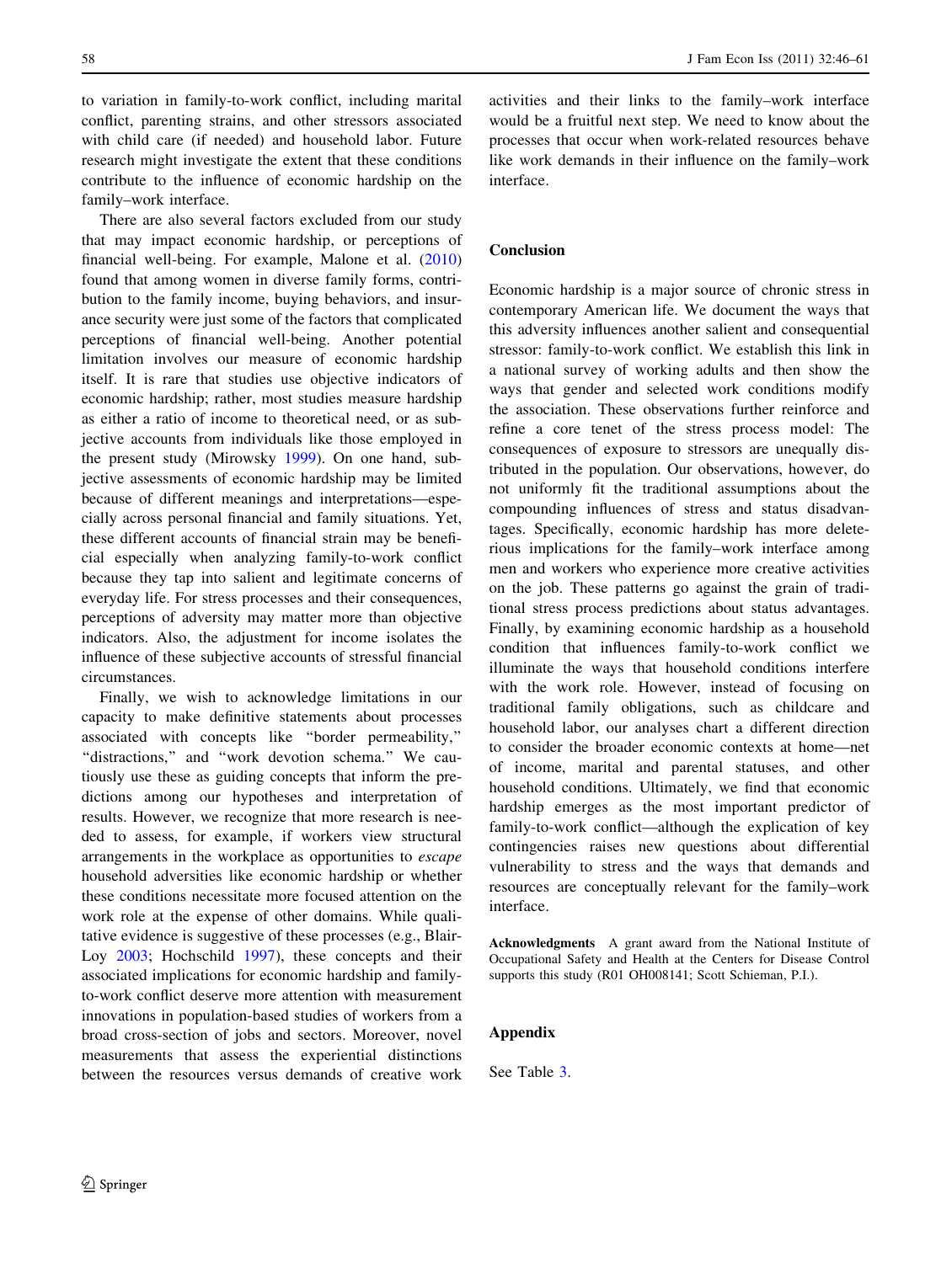<span id="page-13-0"></span>to variation in family-to-work conflict, including marital conflict, parenting strains, and other stressors associated with child care (if needed) and household labor. Future research might investigate the extent that these conditions contribute to the influence of economic hardship on the family–work interface.

There are also several factors excluded from our study that may impact economic hardship, or perceptions of financial well-being. For example, Malone et al. ([2010\)](#page-15-0) found that among women in diverse family forms, contribution to the family income, buying behaviors, and insurance security were just some of the factors that complicated perceptions of financial well-being. Another potential limitation involves our measure of economic hardship itself. It is rare that studies use objective indicators of economic hardship; rather, most studies measure hardship as either a ratio of income to theoretical need, or as subjective accounts from individuals like those employed in the present study (Mirowsky [1999\)](#page-15-0). On one hand, subjective assessments of economic hardship may be limited because of different meanings and interpretations—especially across personal financial and family situations. Yet, these different accounts of financial strain may be beneficial especially when analyzing family-to-work conflict because they tap into salient and legitimate concerns of everyday life. For stress processes and their consequences, perceptions of adversity may matter more than objective indicators. Also, the adjustment for income isolates the influence of these subjective accounts of stressful financial circumstances.

Finally, we wish to acknowledge limitations in our capacity to make definitive statements about processes associated with concepts like ''border permeability,'' "distractions," and "work devotion schema." We cautiously use these as guiding concepts that inform the predictions among our hypotheses and interpretation of results. However, we recognize that more research is needed to assess, for example, if workers view structural arrangements in the workplace as opportunities to escape household adversities like economic hardship or whether these conditions necessitate more focused attention on the work role at the expense of other domains. While qualitative evidence is suggestive of these processes (e.g., Blair-Loy [2003;](#page-14-0) Hochschild [1997](#page-14-0)), these concepts and their associated implications for economic hardship and familyto-work conflict deserve more attention with measurement innovations in population-based studies of workers from a broad cross-section of jobs and sectors. Moreover, novel measurements that assess the experiential distinctions between the resources versus demands of creative work activities and their links to the family–work interface would be a fruitful next step. We need to know about the processes that occur when work-related resources behave like work demands in their influence on the family–work interface.

# Conclusion

Economic hardship is a major source of chronic stress in contemporary American life. We document the ways that this adversity influences another salient and consequential stressor: family-to-work conflict. We establish this link in a national survey of working adults and then show the ways that gender and selected work conditions modify the association. These observations further reinforce and refine a core tenet of the stress process model: The consequences of exposure to stressors are unequally distributed in the population. Our observations, however, do not uniformly fit the traditional assumptions about the compounding influences of stress and status disadvantages. Specifically, economic hardship has more deleterious implications for the family–work interface among men and workers who experience more creative activities on the job. These patterns go against the grain of traditional stress process predictions about status advantages. Finally, by examining economic hardship as a household condition that influences family-to-work conflict we illuminate the ways that household conditions interfere with the work role. However, instead of focusing on traditional family obligations, such as childcare and household labor, our analyses chart a different direction to consider the broader economic contexts at home—net of income, marital and parental statuses, and other household conditions. Ultimately, we find that economic hardship emerges as the most important predictor of family-to-work conflict—although the explication of key contingencies raises new questions about differential vulnerability to stress and the ways that demands and resources are conceptually relevant for the family–work interface.

Acknowledgments A grant award from the National Institute of Occupational Safety and Health at the Centers for Disease Control supports this study (R01 OH008141; Scott Schieman, P.I.).

#### Appendix

See Table [3](#page-14-0).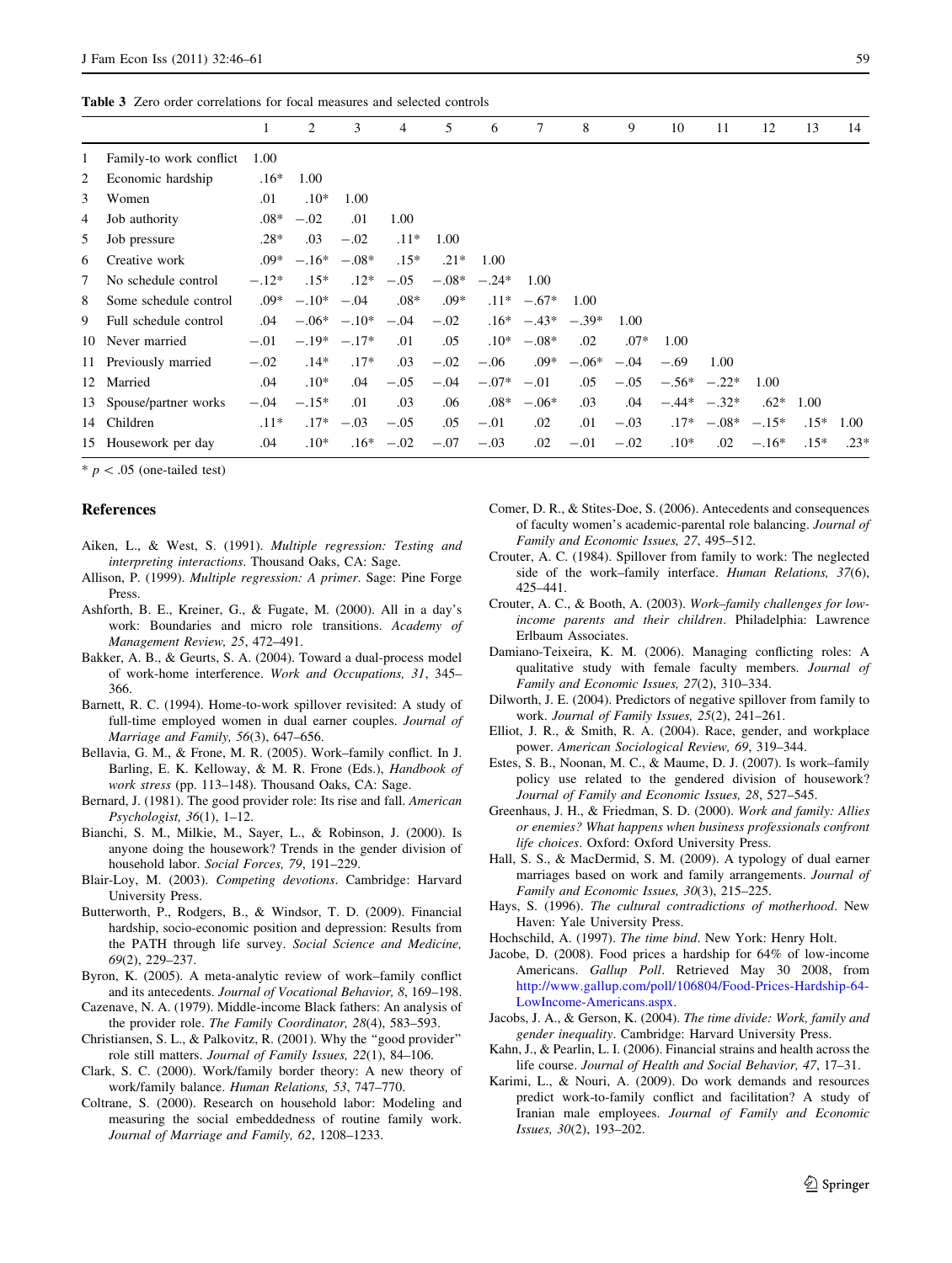<span id="page-14-0"></span>Table 3 Zero order correlations for focal measures and selected controls

|   |                         | 1       | 2       | 3              | 4      | 5       | 6       | 7                         | 8       | 9      | 10     | 11               | 12      | 13     | 14     |
|---|-------------------------|---------|---------|----------------|--------|---------|---------|---------------------------|---------|--------|--------|------------------|---------|--------|--------|
| 1 | Family-to work conflict | 1.00    |         |                |        |         |         |                           |         |        |        |                  |         |        |        |
| 2 | Economic hardship       | $.16*$  | 1.00    |                |        |         |         |                           |         |        |        |                  |         |        |        |
| 3 | Women                   | .01     | $.10*$  | 1.00           |        |         |         |                           |         |        |        |                  |         |        |        |
| 4 | Job authority           | $.08*$  | $-.02$  | .01            | 1.00   |         |         |                           |         |        |        |                  |         |        |        |
| 5 | Job pressure            | $.28*$  | .03     | $-.02$         | $.11*$ | 1.00    |         |                           |         |        |        |                  |         |        |        |
| 6 | Creative work           | $.09*$  | $-.16*$ | $-.08*$        | $.15*$ | $.21*$  | 1.00    |                           |         |        |        |                  |         |        |        |
| 7 | No schedule control     | $-.12*$ | $.15*$  | $.12*$         | $-.05$ | $-.08*$ | $-.24*$ | 1.00                      |         |        |        |                  |         |        |        |
| 8 | Some schedule control   | $.09*$  | $-.10*$ | $-.04$         | $.08*$ | $.09*$  | $.11*$  | $-.67*$                   | 1.00    |        |        |                  |         |        |        |
| 9 | Full schedule control   | .04     |         | $-.06* - .10*$ | $-.04$ | $-.02$  |         | $.16^*$ $-.43^*$ $-.39^*$ |         | 1.00   |        |                  |         |        |        |
|   | 10 Never married        | $-.01$  |         | $-.19* - .17*$ | .01    | .05     |         | $.10^* - .08^*$           | .02     | $.07*$ | 1.00   |                  |         |        |        |
|   | 11 Previously married   | $-.02$  | $.14*$  | $.17*$         | .03    | $-.02$  | $-.06$  | $.09*$                    | $-.06*$ | $-.04$ | $-.69$ | 1.00             |         |        |        |
|   | 12 Married              | .04     | $.10*$  | .04            | $-.05$ | $-.04$  | $-.07*$ | $-.01$                    | .05     | $-.05$ |        | $-.56* -.22*$    | 1.00    |        |        |
|   | 13 Spouse/partner works | $-.04$  | $-.15*$ | .01            | .03    | .06     | $.08*$  | $-.06*$                   | .03     | .04    |        | $-.44* - .32*$   | $.62*$  | 1.00   |        |
|   | 14 Children             | $.11*$  | $.17*$  | $-.03$         | $-.05$ | .05     | $-.01$  | .02                       | .01     | $-.03$ |        | $.17^*$ $-.08^*$ | $-.15*$ | $.15*$ | 1.00   |
|   | 15 Housework per day    | .04     | $.10*$  | $.16*$         | $-.02$ | $-.07$  | $-.03$  | .02                       | $-.01$  | $-.02$ | $.10*$ | .02              | $-.16*$ | $.15*$ | $.23*$ |
|   |                         |         |         |                |        |         |         |                           |         |        |        |                  |         |        |        |

 $* p < .05$  (one-tailed test)

#### References

- Aiken, L., & West, S. (1991). Multiple regression: Testing and interpreting interactions. Thousand Oaks, CA: Sage.
- Allison, P. (1999). Multiple regression: A primer. Sage: Pine Forge Press.
- Ashforth, B. E., Kreiner, G., & Fugate, M. (2000). All in a day's work: Boundaries and micro role transitions. Academy of Management Review, 25, 472–491.
- Bakker, A. B., & Geurts, S. A. (2004). Toward a dual-process model of work-home interference. Work and Occupations, 31, 345– 366.
- Barnett, R. C. (1994). Home-to-work spillover revisited: A study of full-time employed women in dual earner couples. Journal of Marriage and Family, 56(3), 647–656.
- Bellavia, G. M., & Frone, M. R. (2005). Work–family conflict. In J. Barling, E. K. Kelloway, & M. R. Frone (Eds.), Handbook of work stress (pp. 113–148). Thousand Oaks, CA: Sage.
- Bernard, J. (1981). The good provider role: Its rise and fall. American Psychologist, 36(1), 1–12.
- Bianchi, S. M., Milkie, M., Sayer, L., & Robinson, J. (2000). Is anyone doing the housework? Trends in the gender division of household labor. Social Forces, 79, 191–229.
- Blair-Loy, M. (2003). Competing devotions. Cambridge: Harvard University Press.
- Butterworth, P., Rodgers, B., & Windsor, T. D. (2009). Financial hardship, socio-economic position and depression: Results from the PATH through life survey. Social Science and Medicine, 69(2), 229–237.
- Byron, K. (2005). A meta-analytic review of work–family conflict and its antecedents. Journal of Vocational Behavior, 8, 169–198.
- Cazenave, N. A. (1979). Middle-income Black fathers: An analysis of the provider role. The Family Coordinator, 28(4), 583–593.
- Christiansen, S. L., & Palkovitz, R. (2001). Why the ''good provider'' role still matters. Journal of Family Issues, 22(1), 84–106.
- Clark, S. C. (2000). Work/family border theory: A new theory of work/family balance. Human Relations, 53, 747–770.
- Coltrane, S. (2000). Research on household labor: Modeling and measuring the social embeddedness of routine family work. Journal of Marriage and Family, 62, 1208–1233.
- Comer, D. R., & Stites-Doe, S. (2006). Antecedents and consequences of faculty women's academic-parental role balancing. Journal of Family and Economic Issues, 27, 495–512.
- Crouter, A. C. (1984). Spillover from family to work: The neglected side of the work–family interface. Human Relations, 37(6), 425–441.
- Crouter, A. C., & Booth, A. (2003). Work–family challenges for lowincome parents and their children. Philadelphia: Lawrence Erlbaum Associates.
- Damiano-Teixeira, K. M. (2006). Managing conflicting roles: A qualitative study with female faculty members. Journal of Family and Economic Issues, 27(2), 310–334.
- Dilworth, J. E. (2004). Predictors of negative spillover from family to work. Journal of Family Issues, 25(2), 241–261.
- Elliot, J. R., & Smith, R. A. (2004). Race, gender, and workplace power. American Sociological Review, 69, 319–344.
- Estes, S. B., Noonan, M. C., & Maume, D. J. (2007). Is work–family policy use related to the gendered division of housework? Journal of Family and Economic Issues, 28, 527–545.
- Greenhaus, J. H., & Friedman, S. D. (2000). Work and family: Allies or enemies? What happens when business professionals confront life choices. Oxford: Oxford University Press.
- Hall, S. S., & MacDermid, S. M. (2009). A typology of dual earner marriages based on work and family arrangements. Journal of Family and Economic Issues, 30(3), 215–225.
- Hays, S. (1996). The cultural contradictions of motherhood. New Haven: Yale University Press.
- Hochschild, A. (1997). The time bind. New York: Henry Holt.
- Jacobe, D. (2008). Food prices a hardship for 64% of low-income Americans. Gallup Poll. Retrieved May 30 2008, from [http://www.gallup.com/poll/106804/Food-Prices-Hardship-64-](http://www.gallup.com/poll/106804/Food-Prices-Hardship-64-LowIncome-Americans.aspx) [LowIncome-Americans.aspx](http://www.gallup.com/poll/106804/Food-Prices-Hardship-64-LowIncome-Americans.aspx).
- Jacobs, J. A., & Gerson, K. (2004). The time divide: Work, family and gender inequality. Cambridge: Harvard University Press.
- Kahn, J., & Pearlin, L. I. (2006). Financial strains and health across the life course. Journal of Health and Social Behavior, 47, 17–31.
- Karimi, L., & Nouri, A. (2009). Do work demands and resources predict work-to-family conflict and facilitation? A study of Iranian male employees. Journal of Family and Economic Issues, 30(2), 193–202.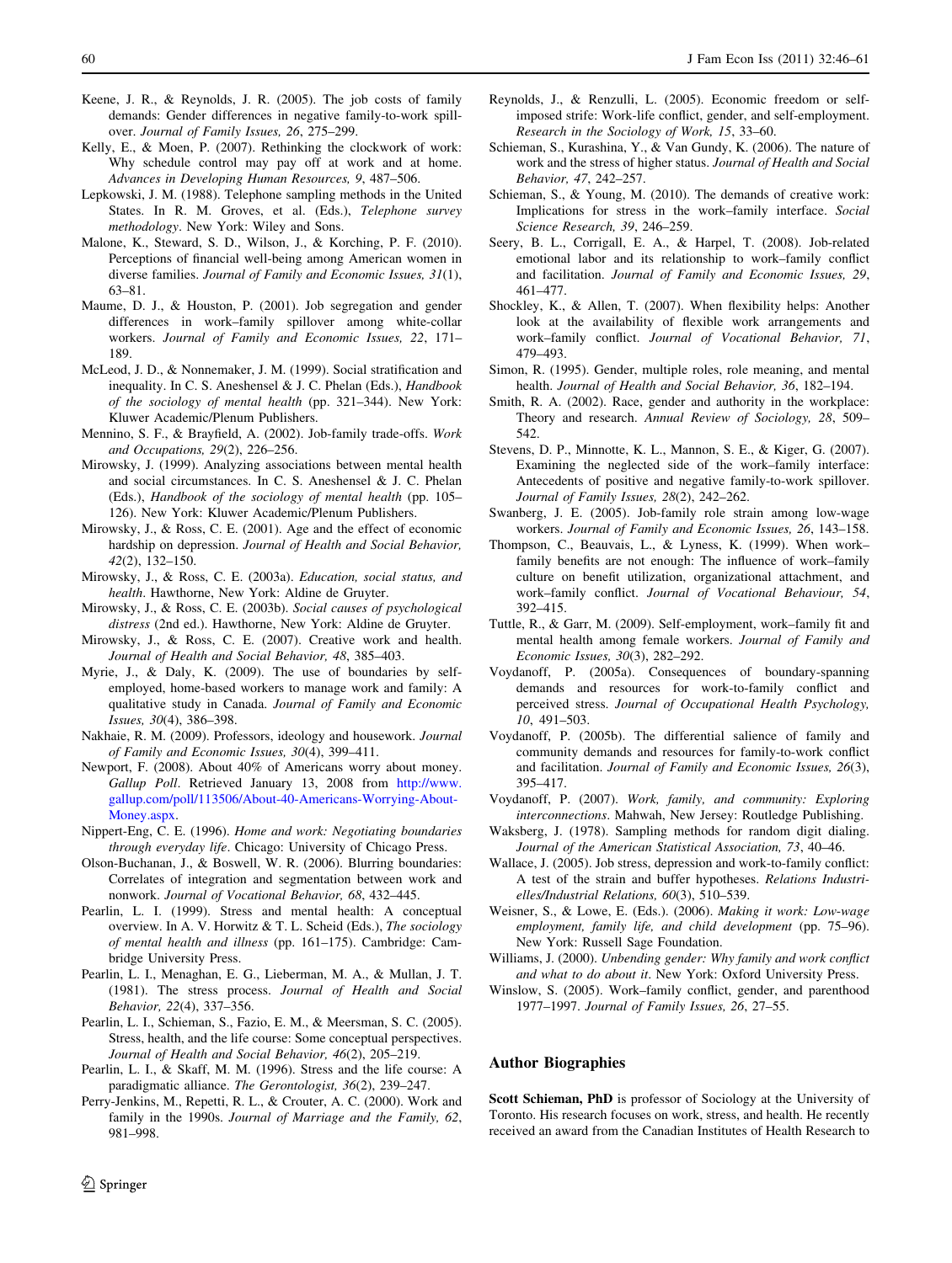- <span id="page-15-0"></span>Keene, J. R., & Reynolds, J. R. (2005). The job costs of family demands: Gender differences in negative family-to-work spillover. Journal of Family Issues, 26, 275–299.
- Kelly, E., & Moen, P. (2007). Rethinking the clockwork of work: Why schedule control may pay off at work and at home. Advances in Developing Human Resources, 9, 487–506.
- Lepkowski, J. M. (1988). Telephone sampling methods in the United States. In R. M. Groves, et al. (Eds.), Telephone survey methodology. New York: Wiley and Sons.
- Malone, K., Steward, S. D., Wilson, J., & Korching, P. F. (2010). Perceptions of financial well-being among American women in diverse families. Journal of Family and Economic Issues, 31(1), 63–81.
- Maume, D. J., & Houston, P. (2001). Job segregation and gender differences in work–family spillover among white-collar workers. Journal of Family and Economic Issues, 22, 171– 189.
- McLeod, J. D., & Nonnemaker, J. M. (1999). Social stratification and inequality. In C. S. Aneshensel & J. C. Phelan (Eds.), Handbook of the sociology of mental health (pp. 321–344). New York: Kluwer Academic/Plenum Publishers.
- Mennino, S. F., & Brayfield, A. (2002). Job-family trade-offs. Work and Occupations, 29(2), 226–256.
- Mirowsky, J. (1999). Analyzing associations between mental health and social circumstances. In C. S. Aneshensel & J. C. Phelan (Eds.), Handbook of the sociology of mental health (pp. 105– 126). New York: Kluwer Academic/Plenum Publishers.
- Mirowsky, J., & Ross, C. E. (2001). Age and the effect of economic hardship on depression. Journal of Health and Social Behavior, 42(2), 132–150.
- Mirowsky, J., & Ross, C. E. (2003a). Education, social status, and health. Hawthorne, New York: Aldine de Gruyter.
- Mirowsky, J., & Ross, C. E. (2003b). Social causes of psychological distress (2nd ed.). Hawthorne, New York: Aldine de Gruyter.
- Mirowsky, J., & Ross, C. E. (2007). Creative work and health. Journal of Health and Social Behavior, 48, 385–403.
- Myrie, J., & Daly, K. (2009). The use of boundaries by selfemployed, home-based workers to manage work and family: A qualitative study in Canada. Journal of Family and Economic Issues, 30(4), 386–398.
- Nakhaie, R. M. (2009). Professors, ideology and housework. Journal of Family and Economic Issues, 30(4), 399–411.
- Newport, F. (2008). About 40% of Americans worry about money. Gallup Poll. Retrieved January 13, 2008 from [http://www.](http://www.gallup.com/poll/113506/About-40-Americans-Worrying-About-Money.aspx) [gallup.com/poll/113506/About-40-Americans-Worrying-About-](http://www.gallup.com/poll/113506/About-40-Americans-Worrying-About-Money.aspx)[Money.aspx.](http://www.gallup.com/poll/113506/About-40-Americans-Worrying-About-Money.aspx)
- Nippert-Eng, C. E. (1996). Home and work: Negotiating boundaries through everyday life. Chicago: University of Chicago Press.
- Olson-Buchanan, J., & Boswell, W. R. (2006). Blurring boundaries: Correlates of integration and segmentation between work and nonwork. Journal of Vocational Behavior, 68, 432–445.
- Pearlin, L. I. (1999). Stress and mental health: A conceptual overview. In A. V. Horwitz & T. L. Scheid (Eds.), The sociology of mental health and illness (pp. 161–175). Cambridge: Cambridge University Press.
- Pearlin, L. I., Menaghan, E. G., Lieberman, M. A., & Mullan, J. T. (1981). The stress process. Journal of Health and Social Behavior, 22(4), 337–356.
- Pearlin, L. I., Schieman, S., Fazio, E. M., & Meersman, S. C. (2005). Stress, health, and the life course: Some conceptual perspectives. Journal of Health and Social Behavior, 46(2), 205–219.
- Pearlin, L. I., & Skaff, M. M. (1996). Stress and the life course: A paradigmatic alliance. The Gerontologist, 36(2), 239–247.
- Perry-Jenkins, M., Repetti, R. L., & Crouter, A. C. (2000). Work and family in the 1990s. Journal of Marriage and the Family, 62, 981–998.
- Reynolds, J., & Renzulli, L. (2005). Economic freedom or selfimposed strife: Work-life conflict, gender, and self-employment. Research in the Sociology of Work, 15, 33–60.
- Schieman, S., Kurashina, Y., & Van Gundy, K. (2006). The nature of work and the stress of higher status. Journal of Health and Social Behavior, 47, 242–257.
- Schieman, S., & Young, M. (2010). The demands of creative work: Implications for stress in the work–family interface. Social Science Research, 39, 246–259.
- Seery, B. L., Corrigall, E. A., & Harpel, T. (2008). Job-related emotional labor and its relationship to work–family conflict and facilitation. Journal of Family and Economic Issues, 29, 461–477.
- Shockley, K., & Allen, T. (2007). When flexibility helps: Another look at the availability of flexible work arrangements and work–family conflict. Journal of Vocational Behavior, 71, 479–493.
- Simon, R. (1995). Gender, multiple roles, role meaning, and mental health. Journal of Health and Social Behavior, 36, 182–194.
- Smith, R. A. (2002). Race, gender and authority in the workplace: Theory and research. Annual Review of Sociology, 28, 509– 542.
- Stevens, D. P., Minnotte, K. L., Mannon, S. E., & Kiger, G. (2007). Examining the neglected side of the work–family interface: Antecedents of positive and negative family-to-work spillover. Journal of Family Issues, 28(2), 242–262.
- Swanberg, J. E. (2005). Job-family role strain among low-wage workers. Journal of Family and Economic Issues, 26, 143–158.
- Thompson, C., Beauvais, L., & Lyness, K. (1999). When work– family benefits are not enough: The influence of work–family culture on benefit utilization, organizational attachment, and work–family conflict. Journal of Vocational Behaviour, 54, 392–415.
- Tuttle, R., & Garr, M. (2009). Self-employment, work–family fit and mental health among female workers. Journal of Family and Economic Issues, 30(3), 282–292.
- Voydanoff, P. (2005a). Consequences of boundary-spanning demands and resources for work-to-family conflict and perceived stress. Journal of Occupational Health Psychology, 10, 491–503.
- Voydanoff, P. (2005b). The differential salience of family and community demands and resources for family-to-work conflict and facilitation. Journal of Family and Economic Issues, 26(3), 395–417.
- Voydanoff, P. (2007). Work, family, and community: Exploring interconnections. Mahwah, New Jersey: Routledge Publishing.
- Waksberg, J. (1978). Sampling methods for random digit dialing. Journal of the American Statistical Association, 73, 40–46.
- Wallace, J. (2005). Job stress, depression and work-to-family conflict: A test of the strain and buffer hypotheses. Relations Industrielles/Industrial Relations, 60(3), 510–539.
- Weisner, S., & Lowe, E. (Eds.). (2006). Making it work: Low-wage employment, family life, and child development (pp. 75–96). New York: Russell Sage Foundation.
- Williams, J. (2000). Unbending gender: Why family and work conflict and what to do about it. New York: Oxford University Press.
- Winslow, S. (2005). Work–family conflict, gender, and parenthood 1977–1997. Journal of Family Issues, 26, 27–55.

#### Author Biographies

Scott Schieman, PhD is professor of Sociology at the University of Toronto. His research focuses on work, stress, and health. He recently received an award from the Canadian Institutes of Health Research to